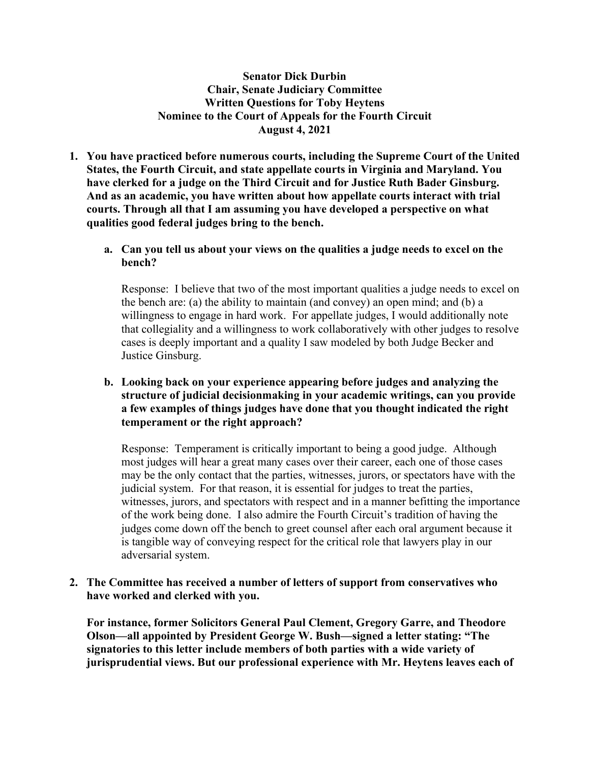**Senator Dick Durbin Chair, Senate Judiciary Committee Written Questions for Toby Heytens Nominee to the Court of Appeals for the Fourth Circuit August 4, 2021**

- **1. You have practiced before numerous courts, including the Supreme Court of the United States, the Fourth Circuit, and state appellate courts in Virginia and Maryland. You have clerked for a judge on the Third Circuit and for Justice Ruth Bader Ginsburg. And as an academic, you have written about how appellate courts interact with trial courts. Through all that I am assuming you have developed a perspective on what qualities good federal judges bring to the bench.**
	- **a. Can you tell us about your views on the qualities a judge needs to excel on the bench?**

Response: I believe that two of the most important qualities a judge needs to excel on the bench are: (a) the ability to maintain (and convey) an open mind; and (b) a willingness to engage in hard work. For appellate judges, I would additionally note that collegiality and a willingness to work collaboratively with other judges to resolve cases is deeply important and a quality I saw modeled by both Judge Becker and Justice Ginsburg.

# **b. Looking back on your experience appearing before judges and analyzing the structure of judicial decisionmaking in your academic writings, can you provide a few examples of things judges have done that you thought indicated the right temperament or the right approach?**

Response: Temperament is critically important to being a good judge. Although most judges will hear a great many cases over their career, each one of those cases may be the only contact that the parties, witnesses, jurors, or spectators have with the judicial system. For that reason, it is essential for judges to treat the parties, witnesses, jurors, and spectators with respect and in a manner befitting the importance of the work being done. I also admire the Fourth Circuit's tradition of having the judges come down off the bench to greet counsel after each oral argument because it is tangible way of conveying respect for the critical role that lawyers play in our adversarial system.

## **2. The Committee has received a number of letters of support from conservatives who have worked and clerked with you.**

**For instance, former Solicitors General Paul Clement, Gregory Garre, and Theodore Olson—all appointed by President George W. Bush—signed a letter stating: "The signatories to this letter include members of both parties with a wide variety of jurisprudential views. But our professional experience with Mr. Heytens leaves each of**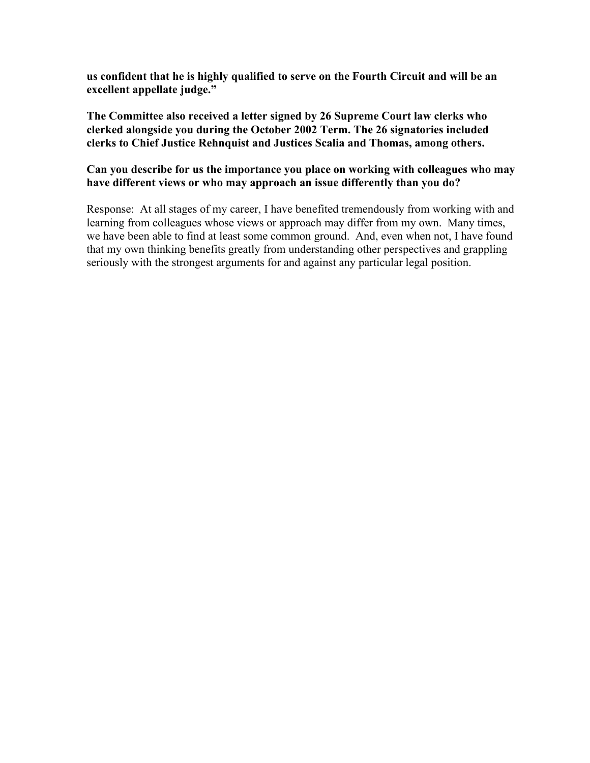**us confident that he is highly qualified to serve on the Fourth Circuit and will be an excellent appellate judge."**

**The Committee also received a letter signed by 26 Supreme Court law clerks who clerked alongside you during the October 2002 Term. The 26 signatories included clerks to Chief Justice Rehnquist and Justices Scalia and Thomas, among others.**

# **Can you describe for us the importance you place on working with colleagues who may have different views or who may approach an issue differently than you do?**

Response: At all stages of my career, I have benefited tremendously from working with and learning from colleagues whose views or approach may differ from my own. Many times, we have been able to find at least some common ground. And, even when not, I have found that my own thinking benefits greatly from understanding other perspectives and grappling seriously with the strongest arguments for and against any particular legal position.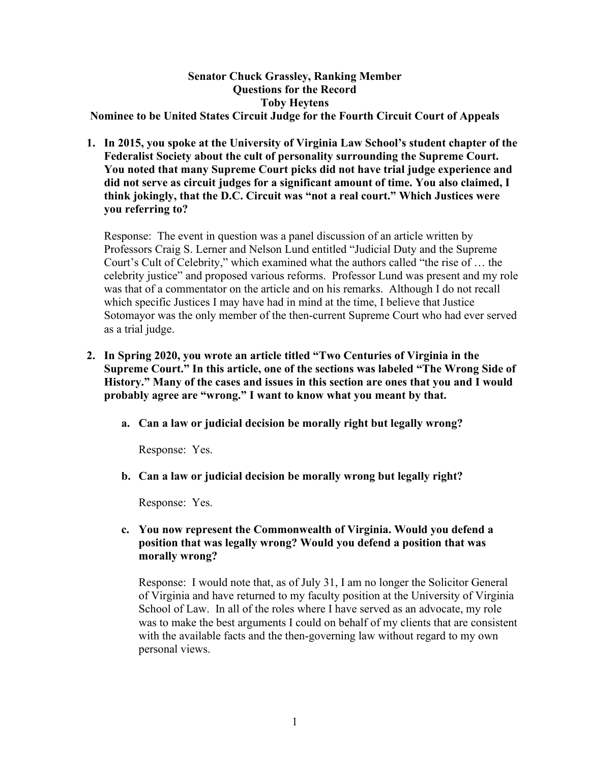# **Senator Chuck Grassley, Ranking Member Questions for the Record Toby Heytens**

**Nominee to be United States Circuit Judge for the Fourth Circuit Court of Appeals**

**1. In 2015, you spoke at the University of Virginia Law School's student chapter of the Federalist Society about the cult of personality surrounding the Supreme Court. You noted that many Supreme Court picks did not have trial judge experience and did not serve as circuit judges for a significant amount of time. You also claimed, I think jokingly, that the D.C. Circuit was "not a real court." Which Justices were you referring to?**

Response: The event in question was a panel discussion of an article written by Professors Craig S. Lerner and Nelson Lund entitled "Judicial Duty and the Supreme Court's Cult of Celebrity," which examined what the authors called "the rise of … the celebrity justice" and proposed various reforms. Professor Lund was present and my role was that of a commentator on the article and on his remarks. Although I do not recall which specific Justices I may have had in mind at the time, I believe that Justice Sotomayor was the only member of the then-current Supreme Court who had ever served as a trial judge.

- **2. In Spring 2020, you wrote an article titled "Two Centuries of Virginia in the Supreme Court." In this article, one of the sections was labeled "The Wrong Side of History." Many of the cases and issues in this section are ones that you and I would probably agree are "wrong." I want to know what you meant by that.**
	- **a. Can a law or judicial decision be morally right but legally wrong?**

Response: Yes.

**b. Can a law or judicial decision be morally wrong but legally right?**

Response: Yes.

# **c. You now represent the Commonwealth of Virginia. Would you defend a position that was legally wrong? Would you defend a position that was morally wrong?**

Response: I would note that, as of July 31, I am no longer the Solicitor General of Virginia and have returned to my faculty position at the University of Virginia School of Law. In all of the roles where I have served as an advocate, my role was to make the best arguments I could on behalf of my clients that are consistent with the available facts and the then-governing law without regard to my own personal views.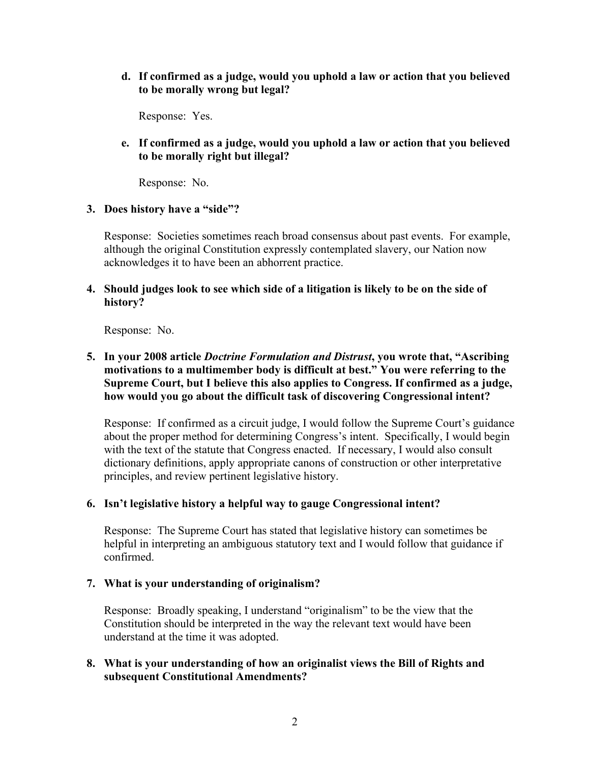**d. If confirmed as a judge, would you uphold a law or action that you believed to be morally wrong but legal?**

Response: Yes.

**e. If confirmed as a judge, would you uphold a law or action that you believed to be morally right but illegal?**

Response: No.

#### **3. Does history have a "side"?**

Response: Societies sometimes reach broad consensus about past events. For example, although the original Constitution expressly contemplated slavery, our Nation now acknowledges it to have been an abhorrent practice.

**4. Should judges look to see which side of a litigation is likely to be on the side of history?**

Response: No.

# **5. In your 2008 article** *Doctrine Formulation and Distrust***, you wrote that, "Ascribing motivations to a multimember body is difficult at best." You were referring to the Supreme Court, but I believe this also applies to Congress. If confirmed as a judge, how would you go about the difficult task of discovering Congressional intent?**

Response: If confirmed as a circuit judge, I would follow the Supreme Court's guidance about the proper method for determining Congress's intent. Specifically, I would begin with the text of the statute that Congress enacted. If necessary, I would also consult dictionary definitions, apply appropriate canons of construction or other interpretative principles, and review pertinent legislative history.

# **6. Isn't legislative history a helpful way to gauge Congressional intent?**

Response: The Supreme Court has stated that legislative history can sometimes be helpful in interpreting an ambiguous statutory text and I would follow that guidance if confirmed.

#### **7. What is your understanding of originalism?**

Response: Broadly speaking, I understand "originalism" to be the view that the Constitution should be interpreted in the way the relevant text would have been understand at the time it was adopted.

# **8. What is your understanding of how an originalist views the Bill of Rights and subsequent Constitutional Amendments?**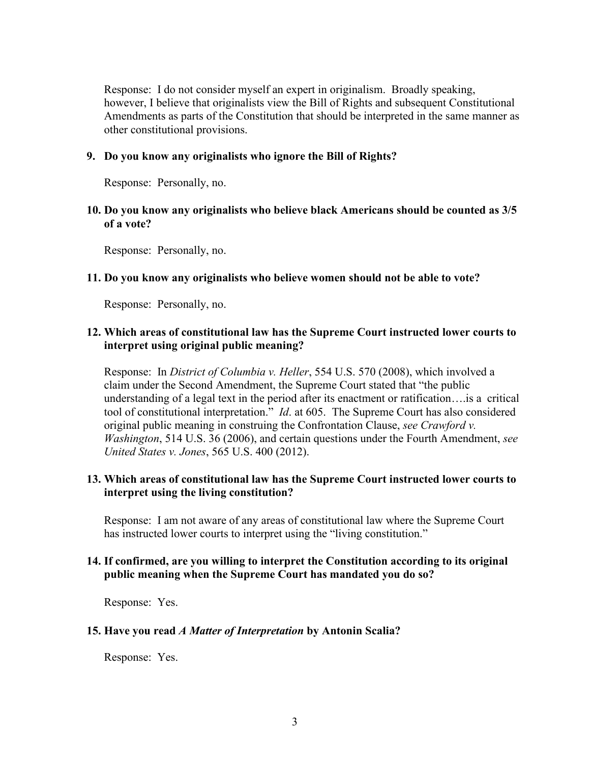Response: I do not consider myself an expert in originalism. Broadly speaking, however, I believe that originalists view the Bill of Rights and subsequent Constitutional Amendments as parts of the Constitution that should be interpreted in the same manner as other constitutional provisions.

#### **9. Do you know any originalists who ignore the Bill of Rights?**

Response: Personally, no.

## **10. Do you know any originalists who believe black Americans should be counted as 3/5 of a vote?**

Response: Personally, no.

#### **11. Do you know any originalists who believe women should not be able to vote?**

Response: Personally, no.

### **12. Which areas of constitutional law has the Supreme Court instructed lower courts to interpret using original public meaning?**

Response: In *District of Columbia v. Heller*, 554 U.S. 570 (2008), which involved a claim under the Second Amendment, the Supreme Court stated that "the public understanding of a legal text in the period after its enactment or ratification….is a critical tool of constitutional interpretation." *Id*. at 605. The Supreme Court has also considered original public meaning in construing the Confrontation Clause, *see Crawford v. Washington*, 514 U.S. 36 (2006), and certain questions under the Fourth Amendment, *see United States v. Jones*, 565 U.S. 400 (2012).

## **13. Which areas of constitutional law has the Supreme Court instructed lower courts to interpret using the living constitution?**

Response: I am not aware of any areas of constitutional law where the Supreme Court has instructed lower courts to interpret using the "living constitution."

#### **14. If confirmed, are you willing to interpret the Constitution according to its original public meaning when the Supreme Court has mandated you do so?**

Response: Yes.

#### **15. Have you read** *A Matter of Interpretation* **by Antonin Scalia?**

Response: Yes.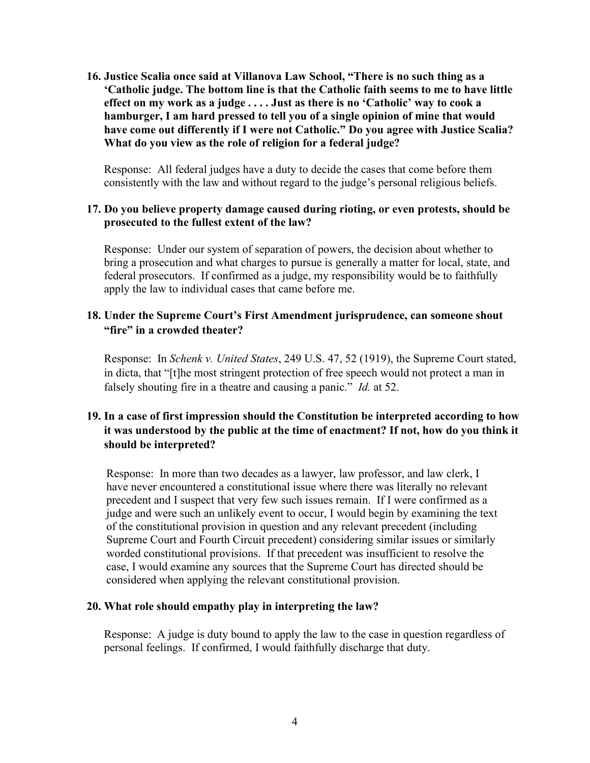**16. Justice Scalia once said at Villanova Law School, "There is no such thing as a 'Catholic judge. The bottom line is that the Catholic faith seems to me to have little effect on my work as a judge . . . . Just as there is no 'Catholic' way to cook a hamburger, I am hard pressed to tell you of a single opinion of mine that would have come out differently if I were not Catholic." Do you agree with Justice Scalia? What do you view as the role of religion for a federal judge?**

Response: All federal judges have a duty to decide the cases that come before them consistently with the law and without regard to the judge's personal religious beliefs.

#### **17. Do you believe property damage caused during rioting, or even protests, should be prosecuted to the fullest extent of the law?**

Response: Under our system of separation of powers, the decision about whether to bring a prosecution and what charges to pursue is generally a matter for local, state, and federal prosecutors. If confirmed as a judge, my responsibility would be to faithfully apply the law to individual cases that came before me.

## **18. Under the Supreme Court's First Amendment jurisprudence, can someone shout "fire" in a crowded theater?**

Response: In *Schenk v. United States*, 249 U.S. 47, 52 (1919), the Supreme Court stated, in dicta, that "[t]he most stringent protection of free speech would not protect a man in falsely shouting fire in a theatre and causing a panic." *Id.* at 52.

# **19. In a case of first impression should the Constitution be interpreted according to how it was understood by the public at the time of enactment? If not, how do you think it should be interpreted?**

Response: In more than two decades as a lawyer, law professor, and law clerk, I have never encountered a constitutional issue where there was literally no relevant precedent and I suspect that very few such issues remain. If I were confirmed as a judge and were such an unlikely event to occur, I would begin by examining the text of the constitutional provision in question and any relevant precedent (including Supreme Court and Fourth Circuit precedent) considering similar issues or similarly worded constitutional provisions. If that precedent was insufficient to resolve the case, I would examine any sources that the Supreme Court has directed should be considered when applying the relevant constitutional provision.

#### **20. What role should empathy play in interpreting the law?**

Response: A judge is duty bound to apply the law to the case in question regardless of personal feelings. If confirmed, I would faithfully discharge that duty.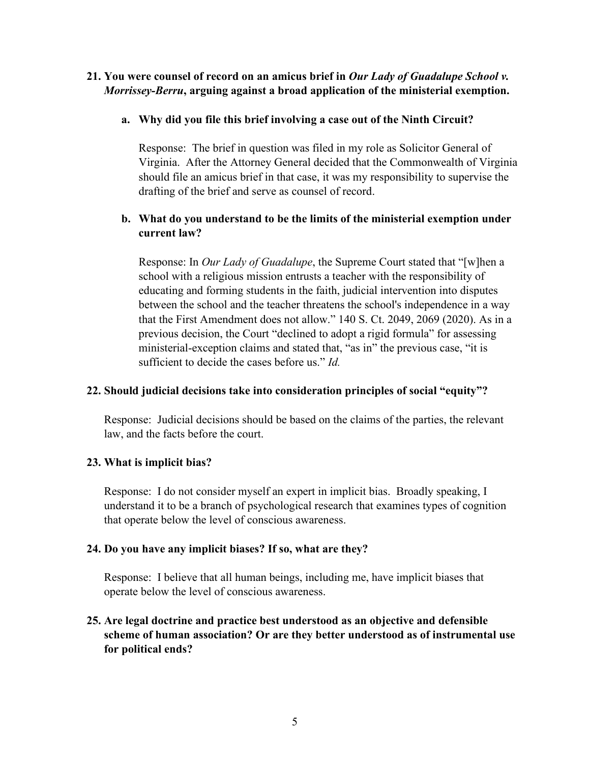# **21. You were counsel of record on an amicus brief in** *Our Lady of Guadalupe School v. Morrissey-Berru***, arguing against a broad application of the ministerial exemption.**

# **a. Why did you file this brief involving a case out of the Ninth Circuit?**

Response: The brief in question was filed in my role as Solicitor General of Virginia. After the Attorney General decided that the Commonwealth of Virginia should file an amicus brief in that case, it was my responsibility to supervise the drafting of the brief and serve as counsel of record.

# **b. What do you understand to be the limits of the ministerial exemption under current law?**

Response: In *Our Lady of Guadalupe*, the Supreme Court stated that "[w]hen a school with a religious mission entrusts a teacher with the responsibility of educating and forming students in the faith, judicial intervention into disputes between the school and the teacher threatens the school's independence in a way that the First Amendment does not allow." 140 S. Ct. 2049, 2069 (2020). As in a previous decision, the Court "declined to adopt a rigid formula" for assessing ministerial-exception claims and stated that, "as in" the previous case, "it is sufficient to decide the cases before us." *Id.*

# **22. Should judicial decisions take into consideration principles of social "equity"?**

Response: Judicial decisions should be based on the claims of the parties, the relevant law, and the facts before the court.

# **23. What is implicit bias?**

Response: I do not consider myself an expert in implicit bias. Broadly speaking, I understand it to be a branch of psychological research that examines types of cognition that operate below the level of conscious awareness.

#### **24. Do you have any implicit biases? If so, what are they?**

Response: I believe that all human beings, including me, have implicit biases that operate below the level of conscious awareness.

# **25. Are legal doctrine and practice best understood as an objective and defensible scheme of human association? Or are they better understood as of instrumental use for political ends?**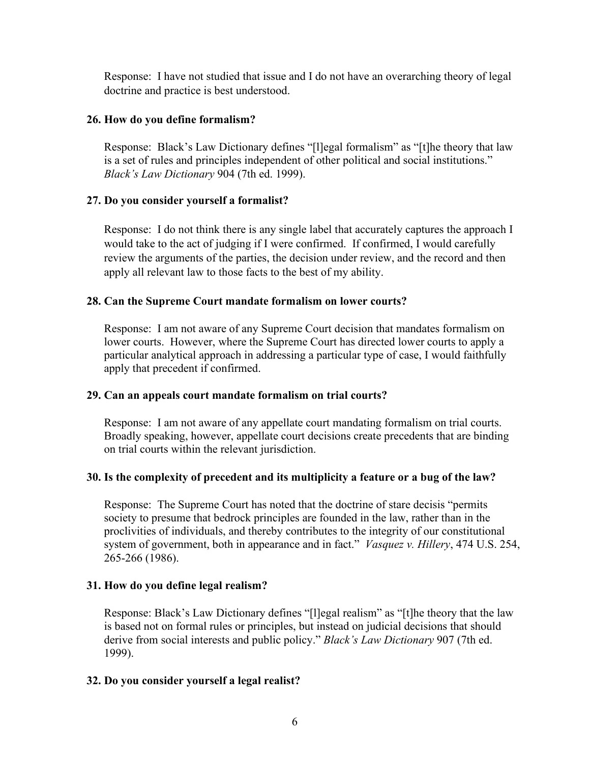Response: I have not studied that issue and I do not have an overarching theory of legal doctrine and practice is best understood.

# **26. How do you define formalism?**

Response: Black's Law Dictionary defines "[l]egal formalism" as "[t]he theory that law is a set of rules and principles independent of other political and social institutions." *Black's Law Dictionary* 904 (7th ed. 1999).

## **27. Do you consider yourself a formalist?**

Response: I do not think there is any single label that accurately captures the approach I would take to the act of judging if I were confirmed. If confirmed, I would carefully review the arguments of the parties, the decision under review, and the record and then apply all relevant law to those facts to the best of my ability.

## **28. Can the Supreme Court mandate formalism on lower courts?**

Response: I am not aware of any Supreme Court decision that mandates formalism on lower courts. However, where the Supreme Court has directed lower courts to apply a particular analytical approach in addressing a particular type of case, I would faithfully apply that precedent if confirmed.

#### **29. Can an appeals court mandate formalism on trial courts?**

Response: I am not aware of any appellate court mandating formalism on trial courts. Broadly speaking, however, appellate court decisions create precedents that are binding on trial courts within the relevant jurisdiction.

# **30. Is the complexity of precedent and its multiplicity a feature or a bug of the law?**

Response: The Supreme Court has noted that the doctrine of stare decisis "permits society to presume that bedrock principles are founded in the law, rather than in the proclivities of individuals, and thereby contributes to the integrity of our constitutional system of government, both in appearance and in fact." *Vasquez v. Hillery*, 474 U.S. 254, 265-266 (1986).

# **31. How do you define legal realism?**

Response: Black's Law Dictionary defines "[l]egal realism" as "[t]he theory that the law is based not on formal rules or principles, but instead on judicial decisions that should derive from social interests and public policy." *Black's Law Dictionary* 907 (7th ed. 1999).

# **32. Do you consider yourself a legal realist?**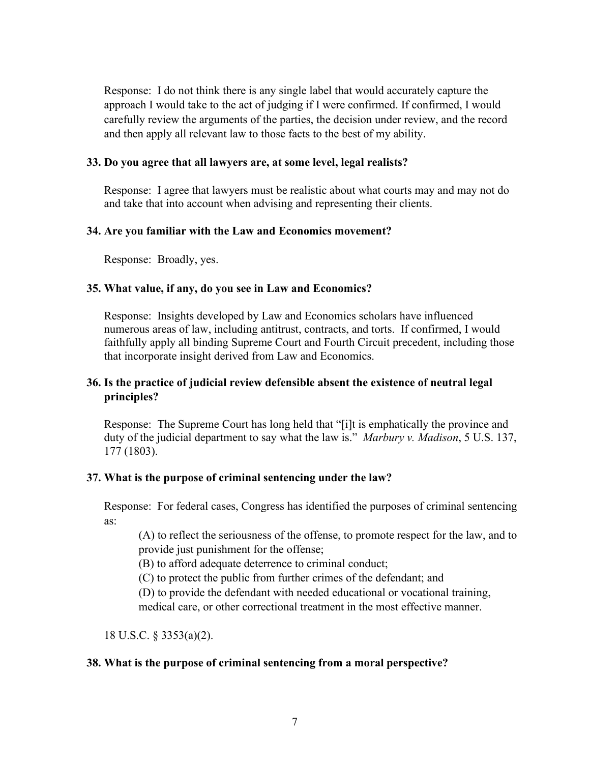Response: I do not think there is any single label that would accurately capture the approach I would take to the act of judging if I were confirmed. If confirmed, I would carefully review the arguments of the parties, the decision under review, and the record and then apply all relevant law to those facts to the best of my ability.

#### **33. Do you agree that all lawyers are, at some level, legal realists?**

Response: I agree that lawyers must be realistic about what courts may and may not do and take that into account when advising and representing their clients.

#### **34. Are you familiar with the Law and Economics movement?**

Response: Broadly, yes.

#### **35. What value, if any, do you see in Law and Economics?**

Response: Insights developed by Law and Economics scholars have influenced numerous areas of law, including antitrust, contracts, and torts. If confirmed, I would faithfully apply all binding Supreme Court and Fourth Circuit precedent, including those that incorporate insight derived from Law and Economics.

### **36. Is the practice of judicial review defensible absent the existence of neutral legal principles?**

Response: The Supreme Court has long held that "[i]t is emphatically the province and duty of the judicial department to say what the law is." *Marbury v. Madison*, 5 U.S. 137, 177 (1803).

#### **37. What is the purpose of criminal sentencing under the law?**

Response: For federal cases, Congress has identified the purposes of criminal sentencing as:

(A) to reflect the seriousness of the offense, to promote respect for the law, and to provide just punishment for the offense;

(B) to afford adequate deterrence to criminal conduct;

(C) to protect the public from further crimes of the defendant; and

(D) to provide the defendant with needed educational or vocational training,

medical care, or other correctional treatment in the most effective manner.

18 U.S.C. § 3353(a)(2).

#### **38. What is the purpose of criminal sentencing from a moral perspective?**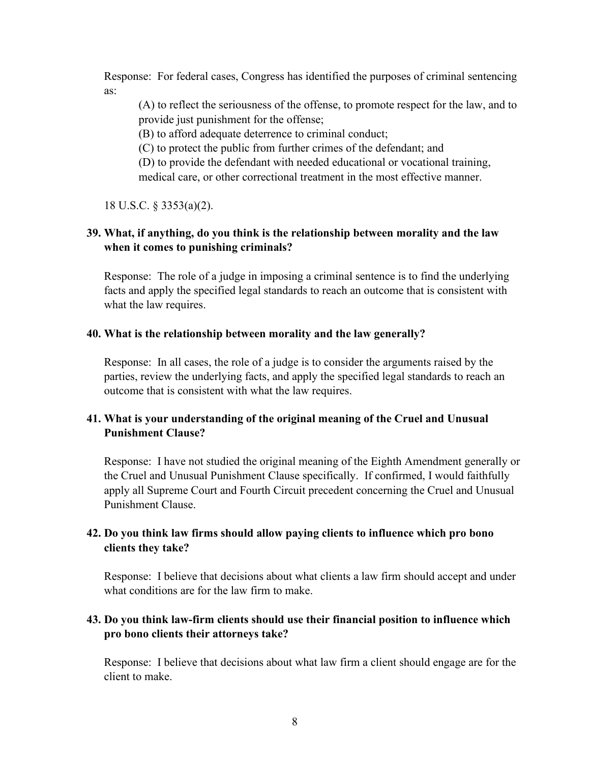Response: For federal cases, Congress has identified the purposes of criminal sentencing as:

(A) to reflect the seriousness of the offense, to promote respect for the law, and to provide just punishment for the offense;

(B) to afford adequate deterrence to criminal conduct;

(C) to protect the public from further crimes of the defendant; and

(D) to provide the defendant with needed educational or vocational training, medical care, or other correctional treatment in the most effective manner.

18 U.S.C. § 3353(a)(2).

# **39. What, if anything, do you think is the relationship between morality and the law when it comes to punishing criminals?**

Response: The role of a judge in imposing a criminal sentence is to find the underlying facts and apply the specified legal standards to reach an outcome that is consistent with what the law requires.

## **40. What is the relationship between morality and the law generally?**

Response: In all cases, the role of a judge is to consider the arguments raised by the parties, review the underlying facts, and apply the specified legal standards to reach an outcome that is consistent with what the law requires.

# **41. What is your understanding of the original meaning of the Cruel and Unusual Punishment Clause?**

Response: I have not studied the original meaning of the Eighth Amendment generally or the Cruel and Unusual Punishment Clause specifically. If confirmed, I would faithfully apply all Supreme Court and Fourth Circuit precedent concerning the Cruel and Unusual Punishment Clause.

# **42. Do you think law firms should allow paying clients to influence which pro bono clients they take?**

Response: I believe that decisions about what clients a law firm should accept and under what conditions are for the law firm to make.

# **43. Do you think law-firm clients should use their financial position to influence which pro bono clients their attorneys take?**

Response: I believe that decisions about what law firm a client should engage are for the client to make.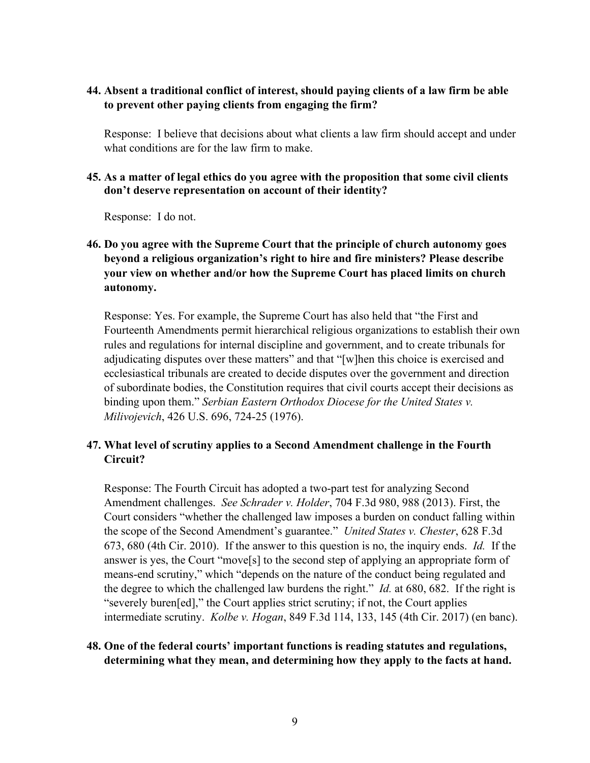# **44. Absent a traditional conflict of interest, should paying clients of a law firm be able to prevent other paying clients from engaging the firm?**

Response: I believe that decisions about what clients a law firm should accept and under what conditions are for the law firm to make.

### **45. As a matter of legal ethics do you agree with the proposition that some civil clients don't deserve representation on account of their identity?**

Response: I do not.

# **46. Do you agree with the Supreme Court that the principle of church autonomy goes beyond a religious organization's right to hire and fire ministers? Please describe your view on whether and/or how the Supreme Court has placed limits on church autonomy.**

Response: Yes. For example, the Supreme Court has also held that "the First and Fourteenth Amendments permit hierarchical religious organizations to establish their own rules and regulations for internal discipline and government, and to create tribunals for adjudicating disputes over these matters" and that "[w]hen this choice is exercised and ecclesiastical tribunals are created to decide disputes over the government and direction of subordinate bodies, the Constitution requires that civil courts accept their decisions as binding upon them." *Serbian Eastern Orthodox Diocese for the United States v. Milivojevich*, 426 U.S. 696, 724-25 (1976).

# **47. What level of scrutiny applies to a Second Amendment challenge in the Fourth Circuit?**

Response: The Fourth Circuit has adopted a two-part test for analyzing Second Amendment challenges. *See Schrader v. Holder*, 704 F.3d 980, 988 (2013). First, the Court considers "whether the challenged law imposes a burden on conduct falling within the scope of the Second Amendment's guarantee." *United States v. Chester*, 628 F.3d 673, 680 (4th Cir. 2010). If the answer to this question is no, the inquiry ends. *Id.* If the answer is yes, the Court "move[s] to the second step of applying an appropriate form of means-end scrutiny," which "depends on the nature of the conduct being regulated and the degree to which the challenged law burdens the right." *Id.* at 680, 682. If the right is "severely buren[ed]," the Court applies strict scrutiny; if not, the Court applies intermediate scrutiny. *Kolbe v. Hogan*, 849 F.3d 114, 133, 145 (4th Cir. 2017) (en banc).

# **48. One of the federal courts' important functions is reading statutes and regulations, determining what they mean, and determining how they apply to the facts at hand.**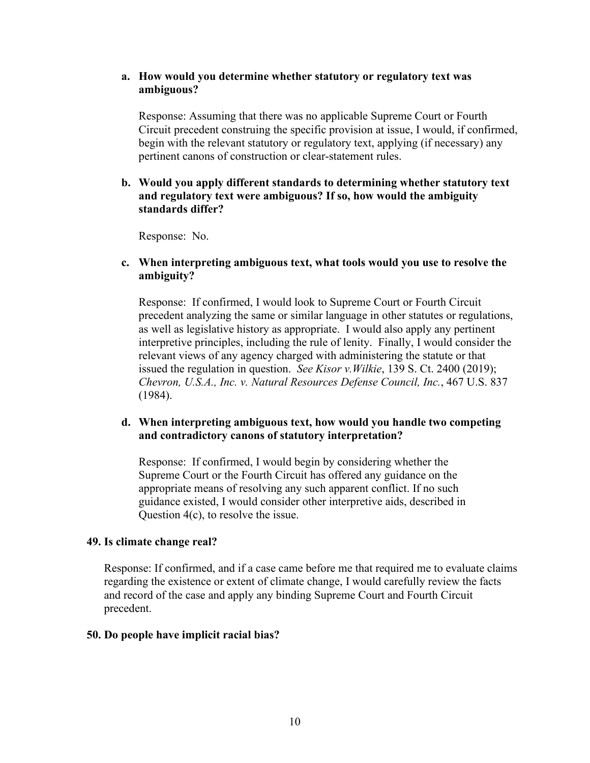### **a. How would you determine whether statutory or regulatory text was ambiguous?**

Response: Assuming that there was no applicable Supreme Court or Fourth Circuit precedent construing the specific provision at issue, I would, if confirmed, begin with the relevant statutory or regulatory text, applying (if necessary) any pertinent canons of construction or clear-statement rules.

## **b. Would you apply different standards to determining whether statutory text and regulatory text were ambiguous? If so, how would the ambiguity standards differ?**

Response: No.

## **c. When interpreting ambiguous text, what tools would you use to resolve the ambiguity?**

Response: If confirmed, I would look to Supreme Court or Fourth Circuit precedent analyzing the same or similar language in other statutes or regulations, as well as legislative history as appropriate. I would also apply any pertinent interpretive principles, including the rule of lenity. Finally, I would consider the relevant views of any agency charged with administering the statute or that issued the regulation in question. *See Kisor v.Wilkie*, 139 S. Ct. 2400 (2019); *Chevron, U.S.A., Inc. v. Natural Resources Defense Council, Inc.*, 467 U.S. 837 (1984).

# **d. When interpreting ambiguous text, how would you handle two competing and contradictory canons of statutory interpretation?**

Response: If confirmed, I would begin by considering whether the Supreme Court or the Fourth Circuit has offered any guidance on the appropriate means of resolving any such apparent conflict. If no such guidance existed, I would consider other interpretive aids, described in Question 4(c), to resolve the issue.

#### **49. Is climate change real?**

Response: If confirmed, and if a case came before me that required me to evaluate claims regarding the existence or extent of climate change, I would carefully review the facts and record of the case and apply any binding Supreme Court and Fourth Circuit precedent.

#### **50. Do people have implicit racial bias?**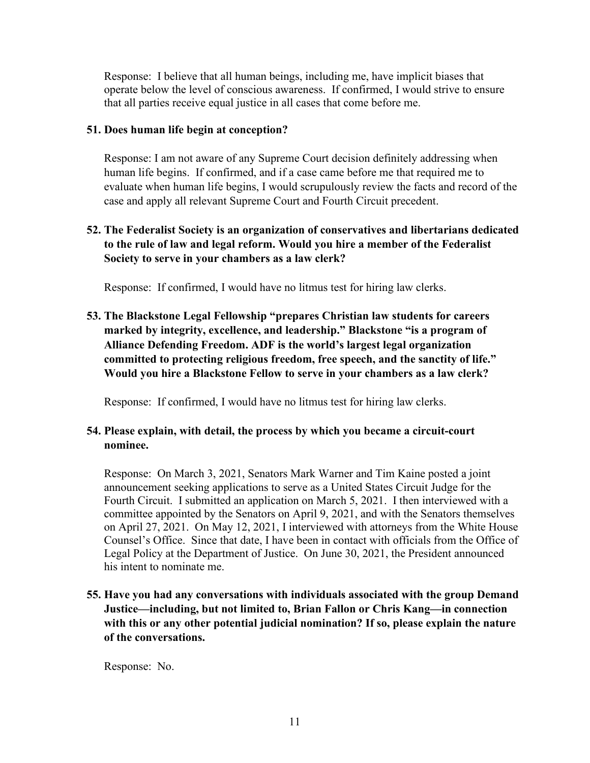Response: I believe that all human beings, including me, have implicit biases that operate below the level of conscious awareness. If confirmed, I would strive to ensure that all parties receive equal justice in all cases that come before me.

# **51. Does human life begin at conception?**

Response: I am not aware of any Supreme Court decision definitely addressing when human life begins. If confirmed, and if a case came before me that required me to evaluate when human life begins, I would scrupulously review the facts and record of the case and apply all relevant Supreme Court and Fourth Circuit precedent.

# **52. The Federalist Society is an organization of conservatives and libertarians dedicated to the rule of law and legal reform. Would you hire a member of the Federalist Society to serve in your chambers as a law clerk?**

Response: If confirmed, I would have no litmus test for hiring law clerks.

**53. The Blackstone Legal Fellowship "prepares Christian law students for careers marked by integrity, excellence, and leadership." Blackstone "is a program of Alliance Defending Freedom. ADF is the world's largest legal organization committed to protecting religious freedom, free speech, and the sanctity of life." Would you hire a Blackstone Fellow to serve in your chambers as a law clerk?**

Response: If confirmed, I would have no litmus test for hiring law clerks.

# **54. Please explain, with detail, the process by which you became a circuit-court nominee.**

Response: On March 3, 2021, Senators Mark Warner and Tim Kaine posted a joint announcement seeking applications to serve as a United States Circuit Judge for the Fourth Circuit. I submitted an application on March 5, 2021. I then interviewed with a committee appointed by the Senators on April 9, 2021, and with the Senators themselves on April 27, 2021. On May 12, 2021, I interviewed with attorneys from the White House Counsel's Office. Since that date, I have been in contact with officials from the Office of Legal Policy at the Department of Justice. On June 30, 2021, the President announced his intent to nominate me.

**55. Have you had any conversations with individuals associated with the group Demand Justice—including, but not limited to, Brian Fallon or Chris Kang—in connection with this or any other potential judicial nomination? If so, please explain the nature of the conversations.**

Response: No.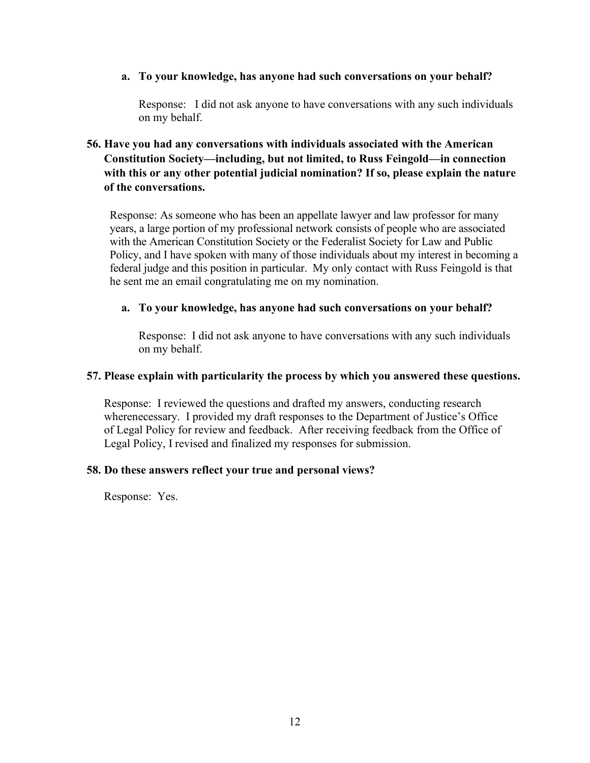#### **a. To your knowledge, has anyone had such conversations on your behalf?**

Response: I did not ask anyone to have conversations with any such individuals on my behalf.

# **56. Have you had any conversations with individuals associated with the American Constitution Society—including, but not limited, to Russ Feingold—in connection with this or any other potential judicial nomination? If so, please explain the nature of the conversations.**

Response: As someone who has been an appellate lawyer and law professor for many years, a large portion of my professional network consists of people who are associated with the American Constitution Society or the Federalist Society for Law and Public Policy, and I have spoken with many of those individuals about my interest in becoming a federal judge and this position in particular. My only contact with Russ Feingold is that he sent me an email congratulating me on my nomination.

#### **a. To your knowledge, has anyone had such conversations on your behalf?**

Response: I did not ask anyone to have conversations with any such individuals on my behalf.

#### **57. Please explain with particularity the process by which you answered these questions.**

Response: I reviewed the questions and drafted my answers, conducting research wherenecessary. I provided my draft responses to the Department of Justice's Office of Legal Policy for review and feedback. After receiving feedback from the Office of Legal Policy, I revised and finalized my responses for submission.

#### **58. Do these answers reflect your true and personal views?**

Response: Yes.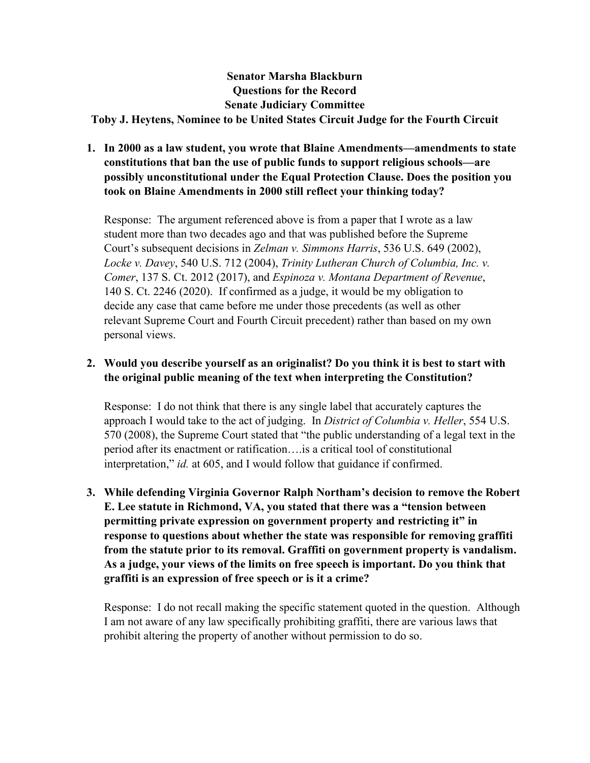# **Senator Marsha Blackburn Questions for the Record Senate Judiciary Committee Toby J. Heytens, Nominee to be United States Circuit Judge for the Fourth Circuit**

# **1. In 2000 as a law student, you wrote that Blaine Amendments—amendments to state constitutions that ban the use of public funds to support religious schools—are possibly unconstitutional under the Equal Protection Clause. Does the position you took on Blaine Amendments in 2000 still reflect your thinking today?**

Response: The argument referenced above is from a paper that I wrote as a law student more than two decades ago and that was published before the Supreme Court's subsequent decisions in *Zelman v. Simmons Harris*, 536 U.S. 649 (2002), *Locke v. Davey*, 540 U.S. 712 (2004), *Trinity Lutheran Church of Columbia, Inc. v. Comer*, 137 S. Ct. 2012 (2017), and *Espinoza v. Montana Department of Revenue*, 140 S. Ct. 2246 (2020). If confirmed as a judge, it would be my obligation to decide any case that came before me under those precedents (as well as other relevant Supreme Court and Fourth Circuit precedent) rather than based on my own personal views.

# **2. Would you describe yourself as an originalist? Do you think it is best to start with the original public meaning of the text when interpreting the Constitution?**

Response: I do not think that there is any single label that accurately captures the approach I would take to the act of judging. In *District of Columbia v. Heller*, 554 U.S. 570 (2008), the Supreme Court stated that "the public understanding of a legal text in the period after its enactment or ratification….is a critical tool of constitutional interpretation," *id.* at 605, and I would follow that guidance if confirmed.

**3. While defending Virginia Governor Ralph Northam's decision to remove the Robert E. Lee statute in Richmond, VA, you stated that there was a "tension between permitting private expression on government property and restricting it" in response to questions about whether the state was responsible for removing graffiti from the statute prior to its removal. Graffiti on government property is vandalism. As a judge, your views of the limits on free speech is important. Do you think that graffiti is an expression of free speech or is it a crime?**

Response: I do not recall making the specific statement quoted in the question. Although I am not aware of any law specifically prohibiting graffiti, there are various laws that prohibit altering the property of another without permission to do so.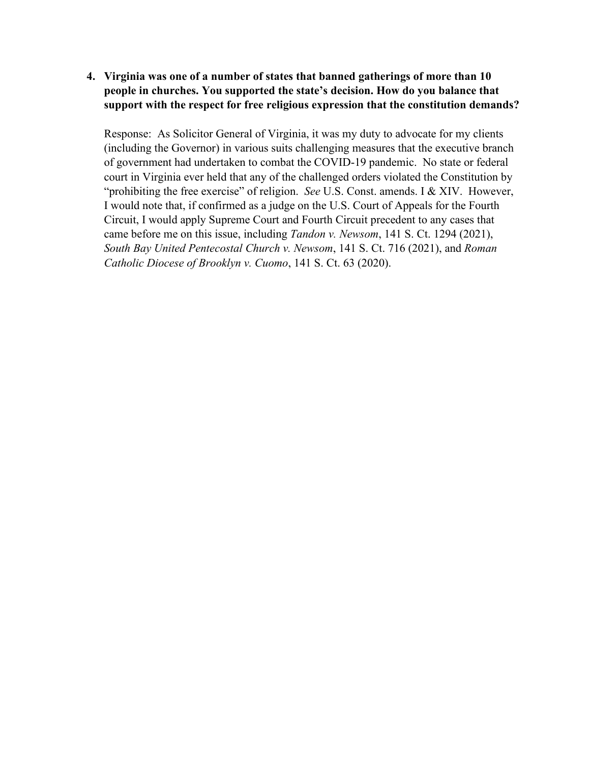**4. Virginia was one of a number of states that banned gatherings of more than 10 people in churches. You supported the state's decision. How do you balance that support with the respect for free religious expression that the constitution demands?**

Response: As Solicitor General of Virginia, it was my duty to advocate for my clients (including the Governor) in various suits challenging measures that the executive branch of government had undertaken to combat the COVID-19 pandemic. No state or federal court in Virginia ever held that any of the challenged orders violated the Constitution by "prohibiting the free exercise" of religion. *See* U.S. Const. amends. I & XIV. However, I would note that, if confirmed as a judge on the U.S. Court of Appeals for the Fourth Circuit, I would apply Supreme Court and Fourth Circuit precedent to any cases that came before me on this issue, including *Tandon v. Newsom*, 141 S. Ct. 1294 (2021), *South Bay United Pentecostal Church v. Newsom*, 141 S. Ct. 716 (2021), and *Roman Catholic Diocese of Brooklyn v. Cuomo*, 141 S. Ct. 63 (2020).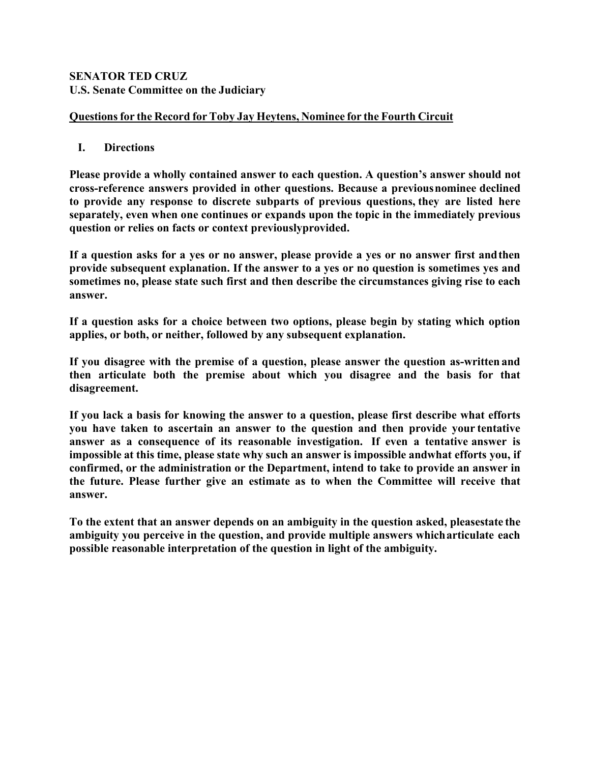# **SENATOR TED CRUZ U.S. Senate Committee on the Judiciary**

# **Questionsfor the Record for Toby Jay Heytens, Nominee for the Fourth Circuit**

# **I. Directions**

**Please provide a wholly contained answer to each question. A question's answer should not cross-reference answers provided in other questions. Because a previousnominee declined to provide any response to discrete subparts of previous questions, they are listed here separately, even when one continues or expands upon the topic in the immediately previous question or relies on facts or context previouslyprovided.**

**If a question asks for a yes or no answer, please provide a yes or no answer first andthen provide subsequent explanation. If the answer to a yes or no question is sometimes yes and sometimes no, please state such first and then describe the circumstances giving rise to each answer.**

**If a question asks for a choice between two options, please begin by stating which option applies, or both, or neither, followed by any subsequent explanation.**

**If you disagree with the premise of a question, please answer the question as-written and then articulate both the premise about which you disagree and the basis for that disagreement.**

**If you lack a basis for knowing the answer to a question, please first describe what efforts you have taken to ascertain an answer to the question and then provide your tentative answer as a consequence of its reasonable investigation. If even a tentative answer is impossible at this time, please state why such an answer is impossible andwhat efforts you, if confirmed, or the administration or the Department, intend to take to provide an answer in the future. Please further give an estimate as to when the Committee will receive that answer.**

**To the extent that an answer depends on an ambiguity in the question asked, pleasestate the ambiguity you perceive in the question, and provide multiple answers whicharticulate each possible reasonable interpretation of the question in light of the ambiguity.**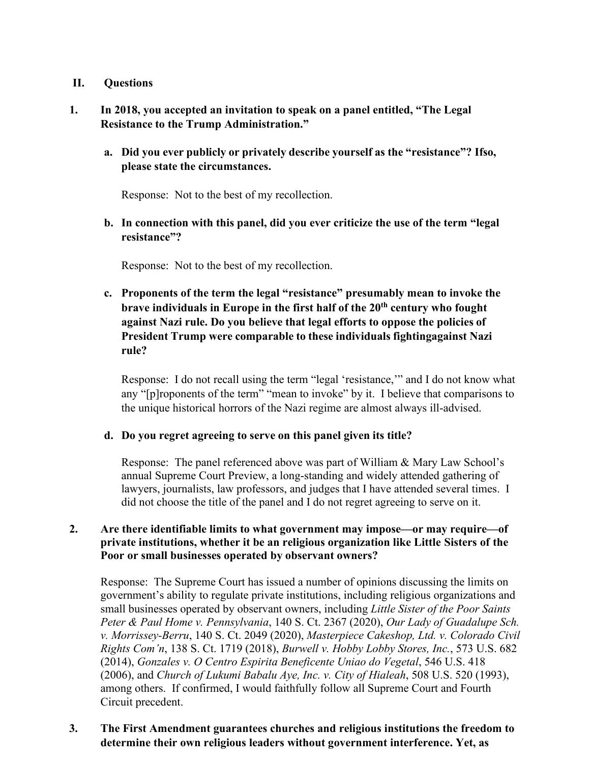## **II. Questions**

# **1. In 2018, you accepted an invitation to speak on a panel entitled, "The Legal Resistance to the Trump Administration."**

**a. Did you ever publicly or privately describe yourself as the "resistance"? Ifso, please state the circumstances.**

Response: Not to the best of my recollection.

**b. In connection with this panel, did you ever criticize the use of the term "legal resistance"?**

Response: Not to the best of my recollection.

**c. Proponents of the term the legal "resistance" presumably mean to invoke the brave individuals in Europe in the first half of the 20th century who fought against Nazi rule. Do you believe that legal efforts to oppose the policies of President Trump were comparable to these individuals fightingagainst Nazi rule?**

Response: I do not recall using the term "legal 'resistance,'" and I do not know what any "[p]roponents of the term" "mean to invoke" by it. I believe that comparisons to the unique historical horrors of the Nazi regime are almost always ill-advised.

#### **d. Do you regret agreeing to serve on this panel given its title?**

Response: The panel referenced above was part of William & Mary Law School's annual Supreme Court Preview, a long-standing and widely attended gathering of lawyers, journalists, law professors, and judges that I have attended several times. I did not choose the title of the panel and I do not regret agreeing to serve on it.

### **2. Are there identifiable limits to what government may impose—or may require—of private institutions, whether it be an religious organization like Little Sisters of the Poor or small businesses operated by observant owners?**

Response: The Supreme Court has issued a number of opinions discussing the limits on government's ability to regulate private institutions, including religious organizations and small businesses operated by observant owners, including *Little Sister of the Poor Saints Peter & Paul Home v. Pennsylvania*, 140 S. Ct. 2367 (2020), *Our Lady of Guadalupe Sch. v. Morrissey-Berru*, 140 S. Ct. 2049 (2020), *Masterpiece Cakeshop, Ltd. v. Colorado Civil Rights Com'n*, 138 S. Ct. 1719 (2018), *Burwell v. Hobby Lobby Stores, Inc.*, 573 U.S. 682 (2014), *Gonzales v. O Centro Espirita Beneficente Uniao do Vegetal*, 546 U.S. 418 (2006), and *Church of Lukumi Babalu Aye, Inc. v. City of Hialeah*, 508 U.S. 520 (1993), among others. If confirmed, I would faithfully follow all Supreme Court and Fourth Circuit precedent.

# **3. The First Amendment guarantees churches and religious institutions the freedom to determine their own religious leaders without government interference. Yet, as**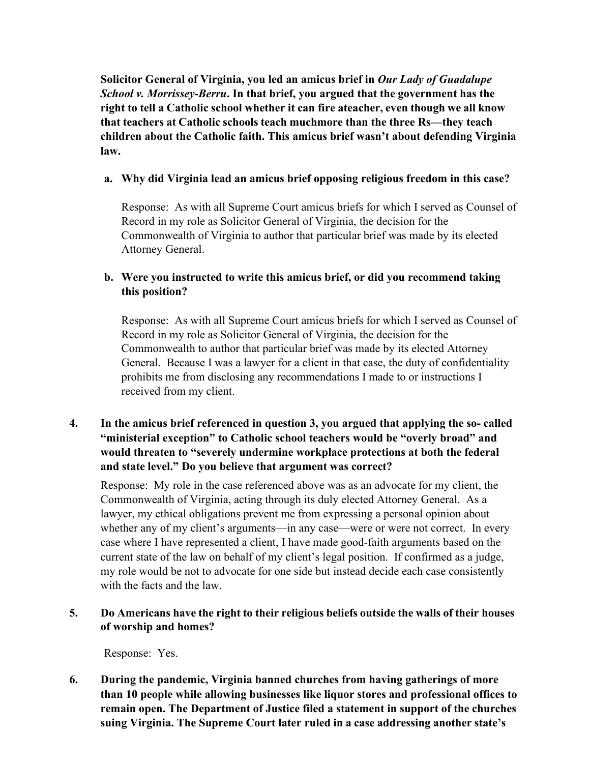**Solicitor General of Virginia, you led an amicus brief in** *Our Lady of Guadalupe School v. Morrissey-Berru***. In that brief, you argued that the government has the right to tell a Catholic school whether it can fire ateacher, even though we all know that teachers at Catholic schools teach muchmore than the three Rs—they teach children about the Catholic faith. This amicus brief wasn't about defending Virginia law.**

# **a. Why did Virginia lead an amicus brief opposing religious freedom in this case?**

Response: As with all Supreme Court amicus briefs for which I served as Counsel of Record in my role as Solicitor General of Virginia, the decision for the Commonwealth of Virginia to author that particular brief was made by its elected Attorney General.

# **b. Were you instructed to write this amicus brief, or did you recommend taking this position?**

Response: As with all Supreme Court amicus briefs for which I served as Counsel of Record in my role as Solicitor General of Virginia, the decision for the Commonwealth to author that particular brief was made by its elected Attorney General. Because I was a lawyer for a client in that case, the duty of confidentiality prohibits me from disclosing any recommendations I made to or instructions I received from my client.

# **4. In the amicus brief referenced in question 3, you argued that applying the so- called "ministerial exception" to Catholic school teachers would be "overly broad" and would threaten to "severely undermine workplace protections at both the federal and state level." Do you believe that argument was correct?**

Response: My role in the case referenced above was as an advocate for my client, the Commonwealth of Virginia, acting through its duly elected Attorney General. As a lawyer, my ethical obligations prevent me from expressing a personal opinion about whether any of my client's arguments—in any case—were or were not correct. In every case where I have represented a client, I have made good-faith arguments based on the current state of the law on behalf of my client's legal position. If confirmed as a judge, my role would be not to advocate for one side but instead decide each case consistently with the facts and the law.

# **5. Do Americans have the right to their religious beliefs outside the walls of their houses of worship and homes?**

Response: Yes.

**6. During the pandemic, Virginia banned churches from having gatherings of more than 10 people while allowing businesses like liquor stores and professional offices to remain open. The Department of Justice filed a statement in support of the churches suing Virginia. The Supreme Court later ruled in a case addressing another state's**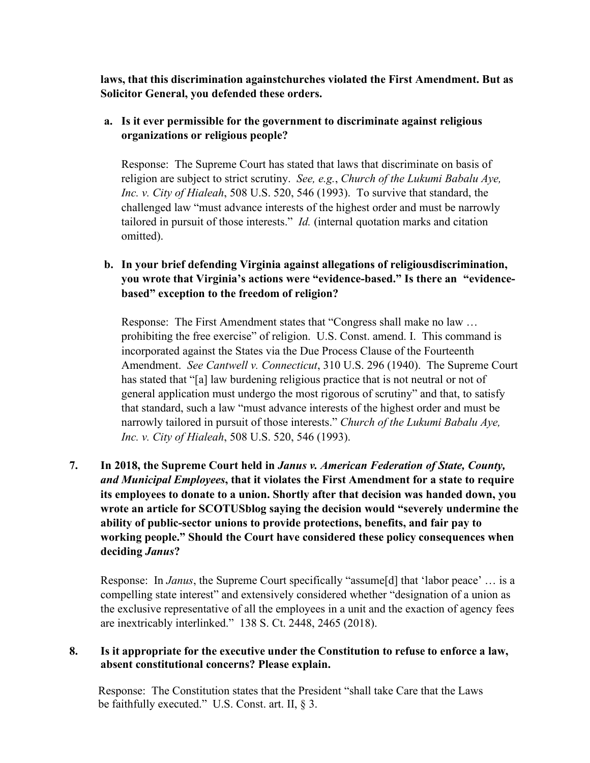**laws, that this discrimination againstchurches violated the First Amendment. But as Solicitor General, you defended these orders.**

# **a. Is it ever permissible for the government to discriminate against religious organizations or religious people?**

Response: The Supreme Court has stated that laws that discriminate on basis of religion are subject to strict scrutiny. *See, e.g.*, *Church of the Lukumi Babalu Aye, Inc. v. City of Hialeah*, 508 U.S. 520, 546 (1993). To survive that standard, the challenged law "must advance interests of the highest order and must be narrowly tailored in pursuit of those interests." *Id.* (internal quotation marks and citation omitted).

# **b. In your brief defending Virginia against allegations of religiousdiscrimination, you wrote that Virginia's actions were "evidence-based." Is there an "evidencebased" exception to the freedom of religion?**

Response: The First Amendment states that "Congress shall make no law … prohibiting the free exercise" of religion. U.S. Const. amend. I. This command is incorporated against the States via the Due Process Clause of the Fourteenth Amendment. *See Cantwell v. Connecticut*, 310 U.S. 296 (1940). The Supreme Court has stated that "[a] law burdening religious practice that is not neutral or not of general application must undergo the most rigorous of scrutiny" and that, to satisfy that standard, such a law "must advance interests of the highest order and must be narrowly tailored in pursuit of those interests." *Church of the Lukumi Babalu Aye, Inc. v. City of Hialeah*, 508 U.S. 520, 546 (1993).

# **7. In 2018, the Supreme Court held in** *Janus v. American Federation of State, County, and Municipal Employees***, that it violates the First Amendment for a state to require its employees to donate to a union. Shortly after that decision was handed down, you wrote an article for SCOTUSblog saying the decision would "severely undermine the ability of public-sector unions to provide protections, benefits, and fair pay to working people." Should the Court have considered these policy consequences when deciding** *Janus***?**

Response: In *Janus*, the Supreme Court specifically "assume[d] that 'labor peace' … is a compelling state interest" and extensively considered whether "designation of a union as the exclusive representative of all the employees in a unit and the exaction of agency fees are inextricably interlinked." 138 S. Ct. 2448, 2465 (2018).

## **8. Is it appropriate for the executive under the Constitution to refuse to enforce a law, absent constitutional concerns? Please explain.**

Response: The Constitution states that the President "shall take Care that the Laws be faithfully executed." U.S. Const. art. II, § 3.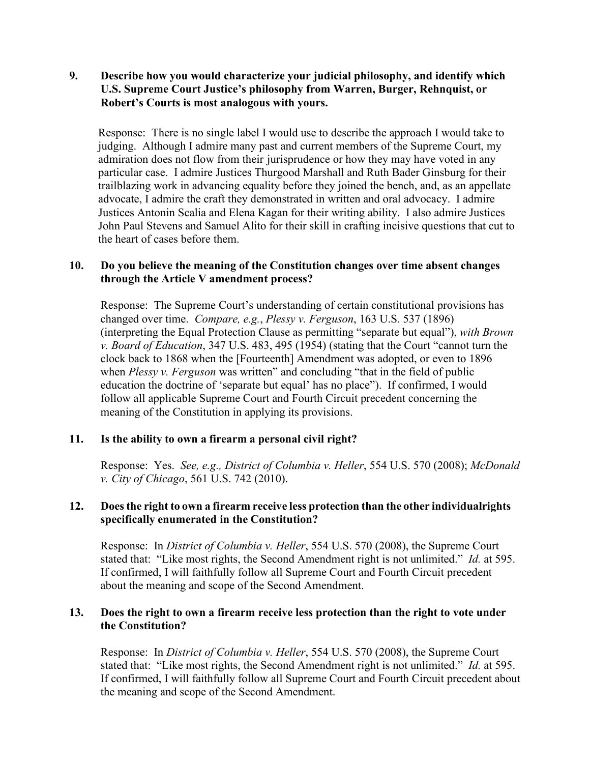# **9. Describe how you would characterize your judicial philosophy, and identify which U.S. Supreme Court Justice's philosophy from Warren, Burger, Rehnquist, or Robert's Courts is most analogous with yours.**

Response: There is no single label I would use to describe the approach I would take to judging. Although I admire many past and current members of the Supreme Court, my admiration does not flow from their jurisprudence or how they may have voted in any particular case. I admire Justices Thurgood Marshall and Ruth Bader Ginsburg for their trailblazing work in advancing equality before they joined the bench, and, as an appellate advocate, I admire the craft they demonstrated in written and oral advocacy. I admire Justices Antonin Scalia and Elena Kagan for their writing ability. I also admire Justices John Paul Stevens and Samuel Alito for their skill in crafting incisive questions that cut to the heart of cases before them.

# **10. Do you believe the meaning of the Constitution changes over time absent changes through the Article V amendment process?**

Response: The Supreme Court's understanding of certain constitutional provisions has changed over time. *Compare, e.g.*, *Plessy v. Ferguson*, 163 U.S. 537 (1896) (interpreting the Equal Protection Clause as permitting "separate but equal"), *with Brown v. Board of Education*, 347 U.S. 483, 495 (1954) (stating that the Court "cannot turn the clock back to 1868 when the [Fourteenth] Amendment was adopted, or even to 1896 when *Plessy v. Ferguson* was written" and concluding "that in the field of public education the doctrine of 'separate but equal' has no place"). If confirmed, I would follow all applicable Supreme Court and Fourth Circuit precedent concerning the meaning of the Constitution in applying its provisions.

# **11. Is the ability to own a firearm a personal civil right?**

Response: Yes. *See, e.g., District of Columbia v. Heller*, 554 U.S. 570 (2008); *McDonald v. City of Chicago*, 561 U.S. 742 (2010).

# **12. Doesthe right to own a firearm receive less protection than the other individualrights specifically enumerated in the Constitution?**

Response: In *District of Columbia v. Heller*, 554 U.S. 570 (2008), the Supreme Court stated that: "Like most rights, the Second Amendment right is not unlimited." *Id.* at 595. If confirmed, I will faithfully follow all Supreme Court and Fourth Circuit precedent about the meaning and scope of the Second Amendment.

## **13. Does the right to own a firearm receive less protection than the right to vote under the Constitution?**

Response: In *District of Columbia v. Heller*, 554 U.S. 570 (2008), the Supreme Court stated that: "Like most rights, the Second Amendment right is not unlimited." *Id.* at 595. If confirmed, I will faithfully follow all Supreme Court and Fourth Circuit precedent about the meaning and scope of the Second Amendment.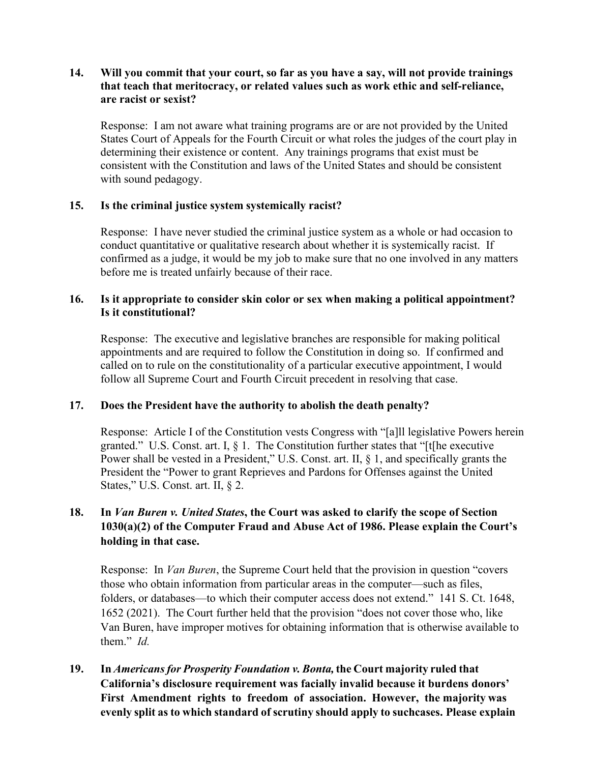# **14. Will you commit that your court, so far as you have a say, will not provide trainings that teach that meritocracy, or related values such as work ethic and self-reliance, are racist or sexist?**

Response: I am not aware what training programs are or are not provided by the United States Court of Appeals for the Fourth Circuit or what roles the judges of the court play in determining their existence or content. Any trainings programs that exist must be consistent with the Constitution and laws of the United States and should be consistent with sound pedagogy.

# **15. Is the criminal justice system systemically racist?**

Response: I have never studied the criminal justice system as a whole or had occasion to conduct quantitative or qualitative research about whether it is systemically racist. If confirmed as a judge, it would be my job to make sure that no one involved in any matters before me is treated unfairly because of their race.

## **16. Is it appropriate to consider skin color or sex when making a political appointment? Is it constitutional?**

Response: The executive and legislative branches are responsible for making political appointments and are required to follow the Constitution in doing so. If confirmed and called on to rule on the constitutionality of a particular executive appointment, I would follow all Supreme Court and Fourth Circuit precedent in resolving that case.

# **17. Does the President have the authority to abolish the death penalty?**

Response: Article I of the Constitution vests Congress with "[a]ll legislative Powers herein granted." U.S. Const. art. I,  $\S$  1. The Constitution further states that "[t[he executive Power shall be vested in a President," U.S. Const. art. II, § 1, and specifically grants the President the "Power to grant Reprieves and Pardons for Offenses against the United States," U.S. Const. art. II, § 2.

# **18. In** *Van Buren v. United States***, the Court was asked to clarify the scope of Section 1030(a)(2) of the Computer Fraud and Abuse Act of 1986. Please explain the Court's holding in that case.**

Response: In *Van Buren*, the Supreme Court held that the provision in question "covers those who obtain information from particular areas in the computer—such as files, folders, or databases—to which their computer access does not extend." 141 S. Ct. 1648, 1652 (2021). The Court further held that the provision "does not cover those who, like Van Buren, have improper motives for obtaining information that is otherwise available to them." *Id.*

**19. In** *Americansfor Prosperity Foundation v. Bonta,* **the Court majority ruled that California's disclosure requirement was facially invalid because it burdens donors' First Amendment rights to freedom of association. However, the majority was evenly split as to which standard of scrutiny should apply to suchcases. Please explain**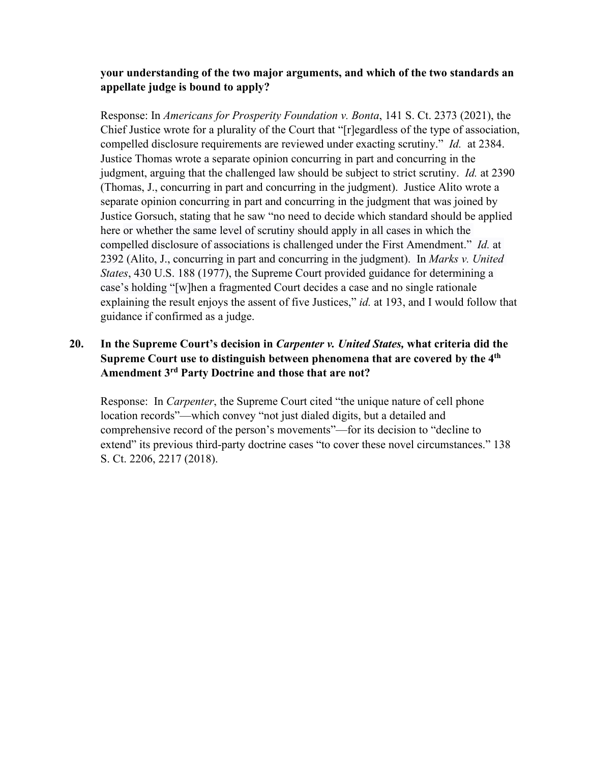# **your understanding of the two major arguments, and which of the two standards an appellate judge is bound to apply?**

Response: In *Americans for Prosperity Foundation v. Bonta*, 141 S. Ct. 2373 (2021), the Chief Justice wrote for a plurality of the Court that "[r]egardless of the type of association, compelled disclosure requirements are reviewed under exacting scrutiny." *Id.* at 2384. Justice Thomas wrote a separate opinion concurring in part and concurring in the judgment, arguing that the challenged law should be subject to strict scrutiny. *Id.* at 2390 (Thomas, J., concurring in part and concurring in the judgment). Justice Alito wrote a separate opinion concurring in part and concurring in the judgment that was joined by Justice Gorsuch, stating that he saw "no need to decide which standard should be applied here or whether the same level of scrutiny should apply in all cases in which the compelled disclosure of associations is challenged under the First Amendment." *Id.* at 2392 (Alito, J., concurring in part and concurring in the judgment). In *Marks v. United States*, 430 U.S. 188 (1977), the Supreme Court provided guidance for determining a case's holding "[w]hen a fragmented Court decides a case and no single rationale explaining the result enjoys the assent of five Justices," *id.* at 193, and I would follow that guidance if confirmed as a judge.

# **20. In the Supreme Court's decision in** *Carpenter v. United States,* **what criteria did the Supreme Court use to distinguish between phenomena that are covered by the 4th Amendment 3rd Party Doctrine and those that are not?**

Response: In *Carpenter*, the Supreme Court cited "the unique nature of cell phone location records"—which convey "not just dialed digits, but a detailed and comprehensive record of the person's movements"—for its decision to "decline to extend" its previous third-party doctrine cases "to cover these novel circumstances." 138 S. Ct. 2206, 2217 (2018).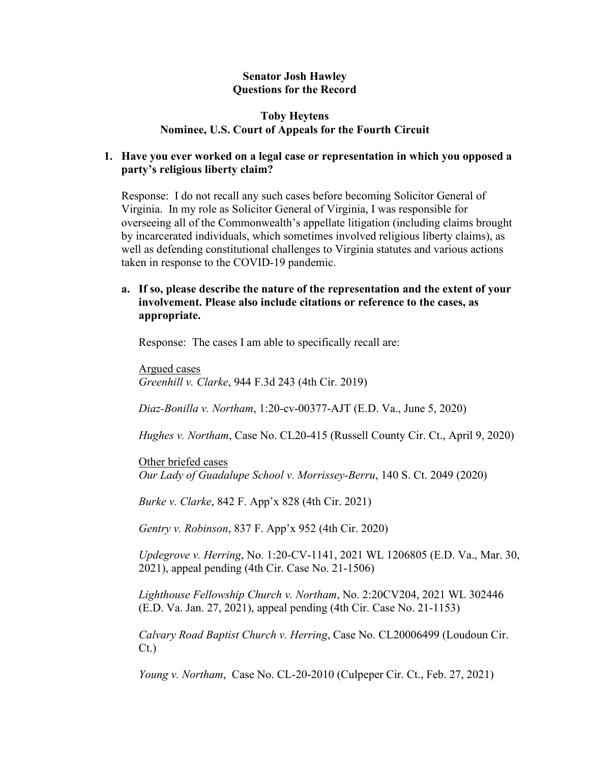### **Senator Josh Hawley Questions for the Record**

### **Toby Heytens Nominee, U.S. Court of Appeals for the Fourth Circuit**

# **1. Have you ever worked on a legal case or representation in which you opposed a party's religious liberty claim?**

Response: I do not recall any such cases before becoming Solicitor General of Virginia. In my role as Solicitor General of Virginia, I was responsible for overseeing all of the Commonwealth's appellate litigation (including claims brought by incarcerated individuals, which sometimes involved religious liberty claims), as well as defending constitutional challenges to Virginia statutes and various actions taken in response to the COVID-19 pandemic.

### **a. If so, please describe the nature of the representation and the extent of your involvement. Please also include citations or reference to the cases, as appropriate.**

Response: The cases I am able to specifically recall are:

Argued cases *Greenhill v. Clarke*, 944 F.3d 243 (4th Cir. 2019)

*Diaz-Bonilla v. Northam*, 1:20-cv-00377-AJT (E.D. Va., June 5, 2020)

*Hughes v. Northam*, Case No. CL20-415 (Russell County Cir. Ct., April 9, 2020)

Other briefed cases *Our Lady of Guadalupe School v. Morrissey-Berru*, 140 S. Ct. 2049 (2020)

*Burke v. Clarke*, 842 F. App'x 828 (4th Cir. 2021)

*Gentry v. Robinson*, 837 F. App'x 952 (4th Cir. 2020)

*Updegrove v. Herring*, No. 1:20-CV-1141, 2021 WL 1206805 (E.D. Va., Mar. 30, 2021), appeal pending (4th Cir. Case No. 21-1506)

*Lighthouse Fellowship Church v. Northam*, No. 2:20CV204, 2021 WL 302446 (E.D. Va. Jan. 27, 2021), appeal pending (4th Cir. Case No. 21-1153)

*Calvary Road Baptist Church v. Herring*, Case No. CL20006499 (Loudoun Cir. Ct.)

*Young v. Northam*, Case No. CL-20-2010 (Culpeper Cir. Ct., Feb. 27, 2021)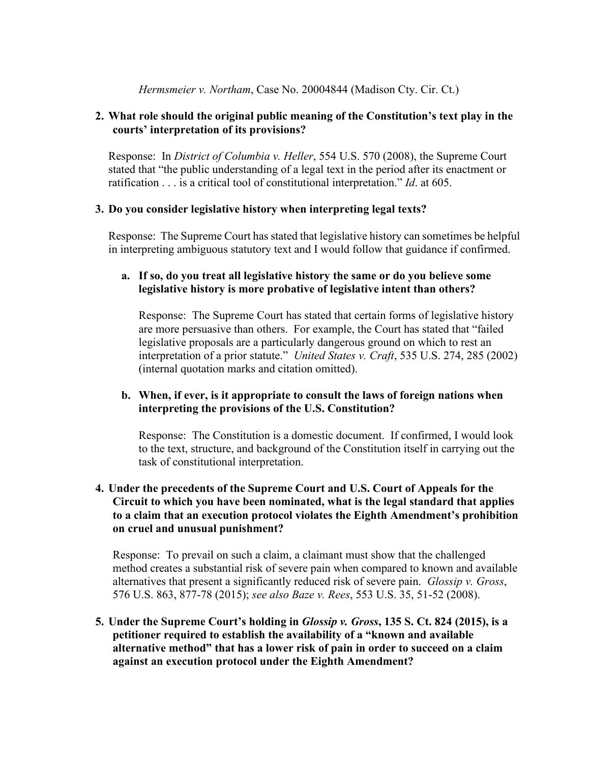### *Hermsmeier v. Northam*, Case No. 20004844 (Madison Cty. Cir. Ct.)

### **2. What role should the original public meaning of the Constitution's text play in the courts' interpretation of its provisions?**

Response: In *District of Columbia v. Heller*, 554 U.S. 570 (2008), the Supreme Court stated that "the public understanding of a legal text in the period after its enactment or ratification . . . is a critical tool of constitutional interpretation." *Id*. at 605.

## **3. Do you consider legislative history when interpreting legal texts?**

Response: The Supreme Court has stated that legislative history can sometimes be helpful in interpreting ambiguous statutory text and I would follow that guidance if confirmed.

### **a. If so, do you treat all legislative history the same or do you believe some legislative history is more probative of legislative intent than others?**

Response: The Supreme Court has stated that certain forms of legislative history are more persuasive than others. For example, the Court has stated that "failed legislative proposals are a particularly dangerous ground on which to rest an interpretation of a prior statute." *United States v. Craft*, 535 U.S. 274, 285 (2002) (internal quotation marks and citation omitted).

# **b. When, if ever, is it appropriate to consult the laws of foreign nations when interpreting the provisions of the U.S. Constitution?**

Response: The Constitution is a domestic document. If confirmed, I would look to the text, structure, and background of the Constitution itself in carrying out the task of constitutional interpretation.

## **4. Under the precedents of the Supreme Court and U.S. Court of Appeals for the Circuit to which you have been nominated, what is the legal standard that applies to a claim that an execution protocol violates the Eighth Amendment's prohibition on cruel and unusual punishment?**

Response: To prevail on such a claim, a claimant must show that the challenged method creates a substantial risk of severe pain when compared to known and available alternatives that present a significantly reduced risk of severe pain. *Glossip v. Gross*, 576 U.S. 863, 877-78 (2015); *see also Baze v. Rees*, 553 U.S. 35, 51-52 (2008).

**5. Under the Supreme Court's holding in** *Glossip v. Gross***, 135 S. Ct. 824 (2015), is a petitioner required to establish the availability of a "known and available alternative method" that has a lower risk of pain in order to succeed on a claim against an execution protocol under the Eighth Amendment?**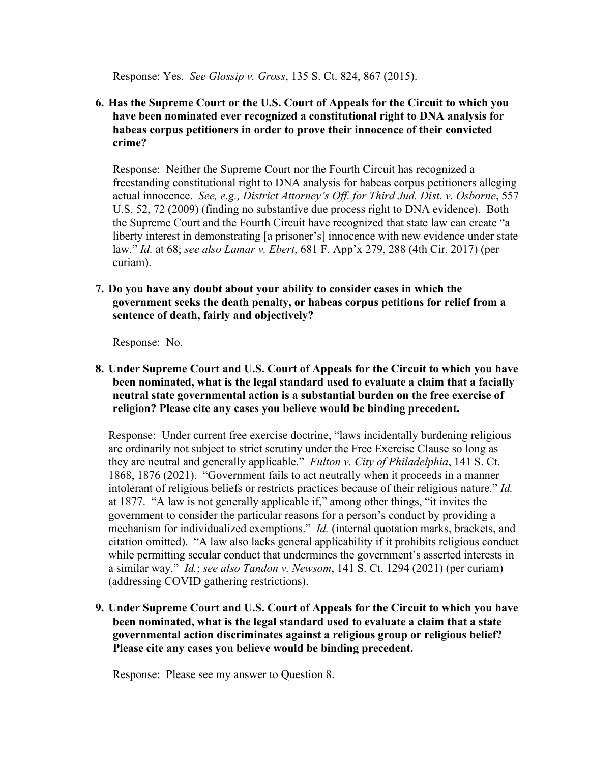Response: Yes. *See Glossip v. Gross*, 135 S. Ct. 824, 867 (2015).

**6. Has the Supreme Court or the U.S. Court of Appeals for the Circuit to which you have been nominated ever recognized a constitutional right to DNA analysis for habeas corpus petitioners in order to prove their innocence of their convicted crime?**

Response: Neither the Supreme Court nor the Fourth Circuit has recognized a freestanding constitutional right to DNA analysis for habeas corpus petitioners alleging actual innocence. *See, e.g., District Attorney's Off. for Third Jud. Dist. v. Osborne*, 557 U.S. 52, 72 (2009) (finding no substantive due process right to DNA evidence). Both the Supreme Court and the Fourth Circuit have recognized that state law can create "a liberty interest in demonstrating [a prisoner's] innocence with new evidence under state law." *Id.* at 68; *see also Lamar v. Ebert*, 681 F. App'x 279, 288 (4th Cir. 2017) (per curiam).

**7. Do you have any doubt about your ability to consider cases in which the government seeks the death penalty, or habeas corpus petitions for relief from a sentence of death, fairly and objectively?**

Response: No.

**8. Under Supreme Court and U.S. Court of Appeals for the Circuit to which you have been nominated, what is the legal standard used to evaluate a claim that a facially neutral state governmental action is a substantial burden on the free exercise of religion? Please cite any cases you believe would be binding precedent.**

Response: Under current free exercise doctrine, "laws incidentally burdening religious are ordinarily not subject to strict scrutiny under the Free Exercise Clause so long as they are neutral and generally applicable." *Fulton v. City of Philadelphia*, 141 S. Ct. 1868, 1876 (2021). "Government fails to act neutrally when it proceeds in a manner intolerant of religious beliefs or restricts practices because of their religious nature." *Id.*  at 1877. "A law is not generally applicable if," among other things, "it invites the government to consider the particular reasons for a person's conduct by providing a mechanism for individualized exemptions." *Id.* (internal quotation marks, brackets, and citation omitted). "A law also lacks general applicability if it prohibits religious conduct while permitting secular conduct that undermines the government's asserted interests in a similar way." *Id.*; *see also Tandon v. Newsom*, 141 S. Ct. 1294 (2021) (per curiam) (addressing COVID gathering restrictions).

**9. Under Supreme Court and U.S. Court of Appeals for the Circuit to which you have been nominated, what is the legal standard used to evaluate a claim that a state governmental action discriminates against a religious group or religious belief? Please cite any cases you believe would be binding precedent.**

Response: Please see my answer to Question 8.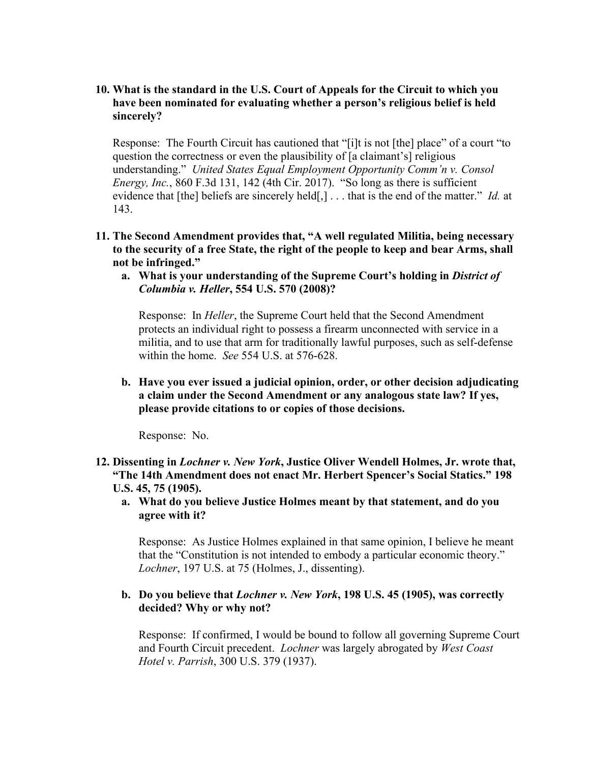### **10. What is the standard in the U.S. Court of Appeals for the Circuit to which you have been nominated for evaluating whether a person's religious belief is held sincerely?**

Response: The Fourth Circuit has cautioned that "[i]t is not [the] place" of a court "to question the correctness or even the plausibility of [a claimant's] religious understanding." *United States Equal Employment Opportunity Comm'n v. Consol Energy, Inc.*, 860 F.3d 131, 142 (4th Cir. 2017). "So long as there is sufficient evidence that [the] beliefs are sincerely held[,] . . . that is the end of the matter." *Id.* at 143.

- **11. The Second Amendment provides that, "A well regulated Militia, being necessary to the security of a free State, the right of the people to keep and bear Arms, shall not be infringed."**
	- **a. What is your understanding of the Supreme Court's holding in** *District of Columbia v. Heller***, 554 U.S. 570 (2008)?**

Response: In *Heller*, the Supreme Court held that the Second Amendment protects an individual right to possess a firearm unconnected with service in a militia, and to use that arm for traditionally lawful purposes, such as self-defense within the home. *See* 554 U.S. at 576-628.

**b. Have you ever issued a judicial opinion, order, or other decision adjudicating a claim under the Second Amendment or any analogous state law? If yes, please provide citations to or copies of those decisions.**

Response: No.

- **12. Dissenting in** *Lochner v. New York***, Justice Oliver Wendell Holmes, Jr. wrote that, "The 14th Amendment does not enact Mr. Herbert Spencer's Social Statics." 198 U.S. 45, 75 (1905).**
	- **a. What do you believe Justice Holmes meant by that statement, and do you agree with it?**

Response: As Justice Holmes explained in that same opinion, I believe he meant that the "Constitution is not intended to embody a particular economic theory." *Lochner*, 197 U.S. at 75 (Holmes, J., dissenting).

## **b. Do you believe that** *Lochner v. New York***, 198 U.S. 45 (1905), was correctly decided? Why or why not?**

Response: If confirmed, I would be bound to follow all governing Supreme Court and Fourth Circuit precedent. *Lochner* was largely abrogated by *West Coast Hotel v. Parrish*, 300 U.S. 379 (1937).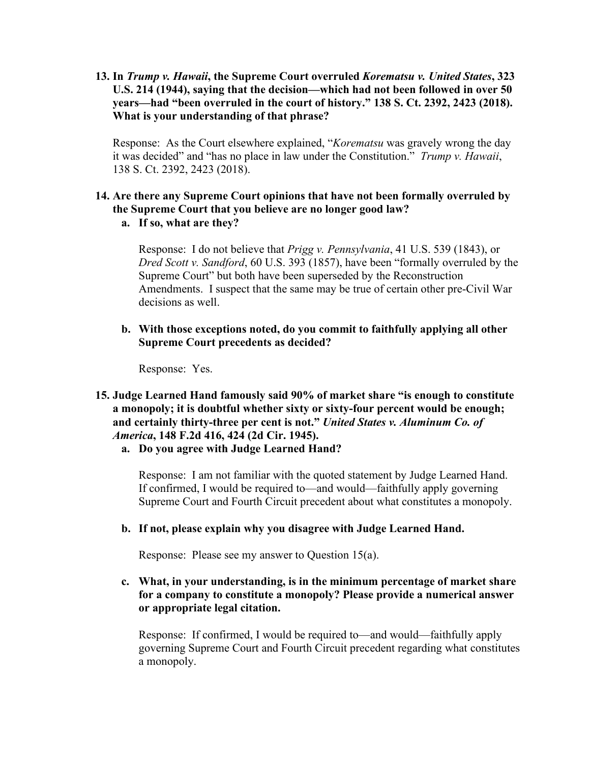**13. In** *Trump v. Hawaii***, the Supreme Court overruled** *Korematsu v. United States***, 323 U.S. 214 (1944), saying that the decision—which had not been followed in over 50 years—had "been overruled in the court of history." 138 S. Ct. 2392, 2423 (2018). What is your understanding of that phrase?**

Response: As the Court elsewhere explained, "*Korematsu* was gravely wrong the day it was decided" and "has no place in law under the Constitution." *Trump v. Hawaii*, 138 S. Ct. 2392, 2423 (2018).

### **14. Are there any Supreme Court opinions that have not been formally overruled by the Supreme Court that you believe are no longer good law? a. If so, what are they?**

Response: I do not believe that *Prigg v. Pennsylvania*, 41 U.S. 539 (1843), or *Dred Scott v. Sandford*, 60 U.S. 393 (1857), have been "formally overruled by the Supreme Court" but both have been superseded by the Reconstruction Amendments. I suspect that the same may be true of certain other pre-Civil War decisions as well.

**b. With those exceptions noted, do you commit to faithfully applying all other Supreme Court precedents as decided?**

Response: Yes.

- **15. Judge Learned Hand famously said 90% of market share "is enough to constitute a monopoly; it is doubtful whether sixty or sixty-four percent would be enough; and certainly thirty-three per cent is not."** *United States v. Aluminum Co. of America***, 148 F.2d 416, 424 (2d Cir. 1945).**
	- **a. Do you agree with Judge Learned Hand?**

Response: I am not familiar with the quoted statement by Judge Learned Hand. If confirmed, I would be required to—and would—faithfully apply governing Supreme Court and Fourth Circuit precedent about what constitutes a monopoly.

**b. If not, please explain why you disagree with Judge Learned Hand.**

Response: Please see my answer to Question 15(a).

# **c. What, in your understanding, is in the minimum percentage of market share for a company to constitute a monopoly? Please provide a numerical answer or appropriate legal citation.**

Response: If confirmed, I would be required to—and would—faithfully apply governing Supreme Court and Fourth Circuit precedent regarding what constitutes a monopoly.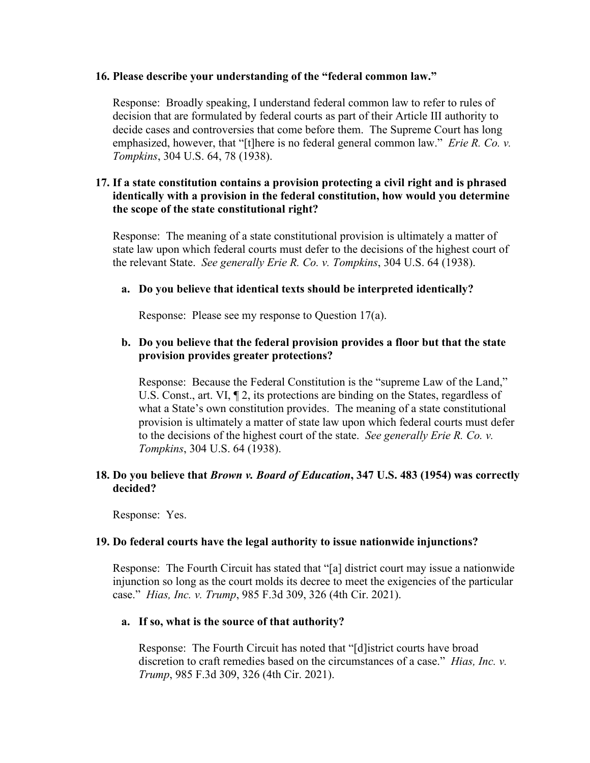#### **16. Please describe your understanding of the "federal common law."**

Response: Broadly speaking, I understand federal common law to refer to rules of decision that are formulated by federal courts as part of their Article III authority to decide cases and controversies that come before them. The Supreme Court has long emphasized, however, that "[t]here is no federal general common law." *Erie R. Co. v. Tompkins*, 304 U.S. 64, 78 (1938).

# **17. If a state constitution contains a provision protecting a civil right and is phrased identically with a provision in the federal constitution, how would you determine the scope of the state constitutional right?**

Response: The meaning of a state constitutional provision is ultimately a matter of state law upon which federal courts must defer to the decisions of the highest court of the relevant State. *See generally Erie R. Co. v. Tompkins*, 304 U.S. 64 (1938).

#### **a. Do you believe that identical texts should be interpreted identically?**

Response: Please see my response to Question 17(a).

# **b. Do you believe that the federal provision provides a floor but that the state provision provides greater protections?**

Response: Because the Federal Constitution is the "supreme Law of the Land," U.S. Const., art. VI, ¶ 2, its protections are binding on the States, regardless of what a State's own constitution provides. The meaning of a state constitutional provision is ultimately a matter of state law upon which federal courts must defer to the decisions of the highest court of the state. *See generally Erie R. Co. v. Tompkins*, 304 U.S. 64 (1938).

#### **18. Do you believe that** *Brown v. Board of Education***, 347 U.S. 483 (1954) was correctly decided?**

Response: Yes.

#### **19. Do federal courts have the legal authority to issue nationwide injunctions?**

Response: The Fourth Circuit has stated that "[a] district court may issue a nationwide injunction so long as the court molds its decree to meet the exigencies of the particular case." *Hias, Inc. v. Trump*, 985 F.3d 309, 326 (4th Cir. 2021).

#### **a. If so, what is the source of that authority?**

Response: The Fourth Circuit has noted that "[d]istrict courts have broad discretion to craft remedies based on the circumstances of a case." *Hias, Inc. v. Trump*, 985 F.3d 309, 326 (4th Cir. 2021).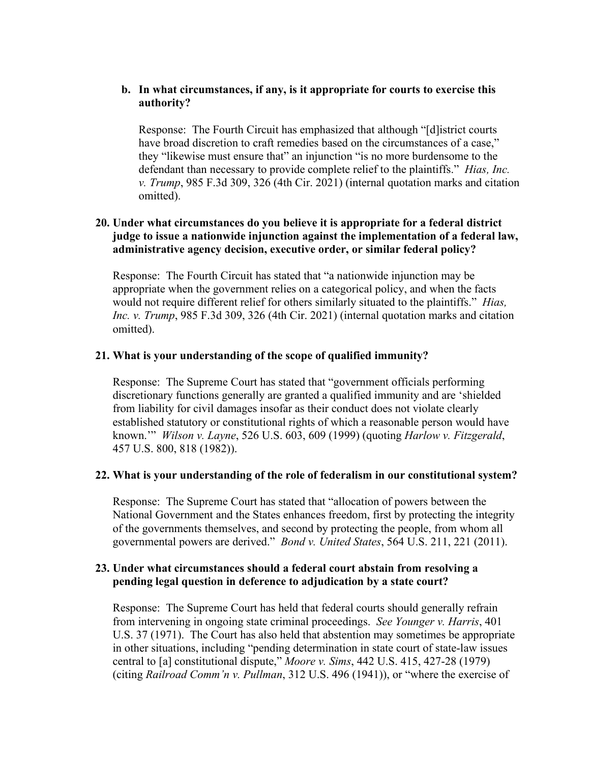## **b. In what circumstances, if any, is it appropriate for courts to exercise this authority?**

Response: The Fourth Circuit has emphasized that although "[d]istrict courts have broad discretion to craft remedies based on the circumstances of a case," they "likewise must ensure that" an injunction "is no more burdensome to the defendant than necessary to provide complete relief to the plaintiffs." *Hias, Inc. v. Trump*, 985 F.3d 309, 326 (4th Cir. 2021) (internal quotation marks and citation omitted).

# **20. Under what circumstances do you believe it is appropriate for a federal district judge to issue a nationwide injunction against the implementation of a federal law, administrative agency decision, executive order, or similar federal policy?**

Response: The Fourth Circuit has stated that "a nationwide injunction may be appropriate when the government relies on a categorical policy, and when the facts would not require different relief for others similarly situated to the plaintiffs." *Hias, Inc. v. Trump*, 985 F.3d 309, 326 (4th Cir. 2021) (internal quotation marks and citation omitted).

## **21. What is your understanding of the scope of qualified immunity?**

Response: The Supreme Court has stated that "government officials performing discretionary functions generally are granted a qualified immunity and are 'shielded from liability for civil damages insofar as their conduct does not violate clearly established statutory or constitutional rights of which a reasonable person would have known.'" *Wilson v. Layne*, 526 U.S. 603, 609 (1999) (quoting *Harlow v. Fitzgerald*, 457 U.S. 800, 818 (1982)).

#### **22. What is your understanding of the role of federalism in our constitutional system?**

Response: The Supreme Court has stated that "allocation of powers between the National Government and the States enhances freedom, first by protecting the integrity of the governments themselves, and second by protecting the people, from whom all governmental powers are derived." *Bond v. United States*, 564 U.S. 211, 221 (2011).

## **23. Under what circumstances should a federal court abstain from resolving a pending legal question in deference to adjudication by a state court?**

Response: The Supreme Court has held that federal courts should generally refrain from intervening in ongoing state criminal proceedings. *See Younger v. Harris*, 401 U.S. 37 (1971). The Court has also held that abstention may sometimes be appropriate in other situations, including "pending determination in state court of state-law issues central to [a] constitutional dispute," *Moore v. Sims*, 442 U.S. 415, 427-28 (1979) (citing *Railroad Comm'n v. Pullman*, 312 U.S. 496 (1941)), or "where the exercise of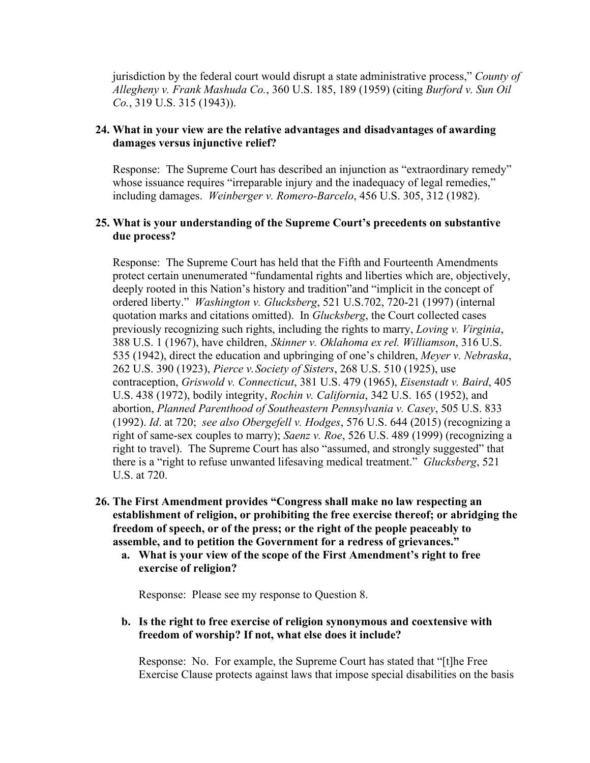jurisdiction by the federal court would disrupt a state administrative process," *County of Allegheny v. Frank Mashuda Co.*, 360 U.S. 185, 189 (1959) (citing *Burford v. Sun Oil Co.*, 319 U.S. 315 (1943)).

# **24. What in your view are the relative advantages and disadvantages of awarding damages versus injunctive relief?**

Response: The Supreme Court has described an injunction as "extraordinary remedy" whose issuance requires "irreparable injury and the inadequacy of legal remedies," including damages. *Weinberger v. Romero-Barcelo*, 456 U.S. 305, 312 (1982).

# **25. What is your understanding of the Supreme Court's precedents on substantive due process?**

Response: The Supreme Court has held that the Fifth and Fourteenth Amendments protect certain unenumerated "fundamental rights and liberties which are, objectively, deeply rooted in this Nation's history and tradition"and "implicit in the concept of ordered liberty." *Washington v. Glucksberg*, 521 U.S.702, 720-21 (1997) (internal quotation marks and citations omitted). In *Glucksberg*, the Court collected cases previously recognizing such rights, including the rights to marry, *Loving v. Virginia*, 388 U.S. 1 (1967), have children, *Skinner v. Oklahoma ex rel. Williamson*, 316 U.S. 535 (1942), direct the education and upbringing of one's children, *Meyer v. Nebraska*, 262 U.S. 390 (1923), *Pierce v. Society of Sisters*, 268 U.S. 510 (1925), use contraception, *Griswold v. Connecticut*, 381 U.S. 479 (1965), *Eisenstadt v. Baird*, 405 U.S. 438 (1972), bodily integrity, *Rochin v. California*, 342 U.S. 165 (1952), and abortion, *Planned Parenthood of Southeastern Pennsylvania v. Casey*, 505 U.S. 833 (1992). *Id*. at 720; *see also Obergefell v. Hodges*, 576 U.S. 644 (2015) (recognizing a right of same-sex couples to marry); *Saenz v. Roe*, 526 U.S. 489 (1999) (recognizing a right to travel). The Supreme Court has also "assumed, and strongly suggested" that there is a "right to refuse unwanted lifesaving medical treatment." *Glucksberg*, 521 U.S. at 720.

- **26. The First Amendment provides "Congress shall make no law respecting an establishment of religion, or prohibiting the free exercise thereof; or abridging the freedom of speech, or of the press; or the right of the people peaceably to assemble, and to petition the Government for a redress of grievances."**
	- **a. What is your view of the scope of the First Amendment's right to free exercise of religion?**

Response: Please see my response to Question 8.

**b. Is the right to free exercise of religion synonymous and coextensive with freedom of worship? If not, what else does it include?**

Response: No. For example, the Supreme Court has stated that "[t]he Free Exercise Clause protects against laws that impose special disabilities on the basis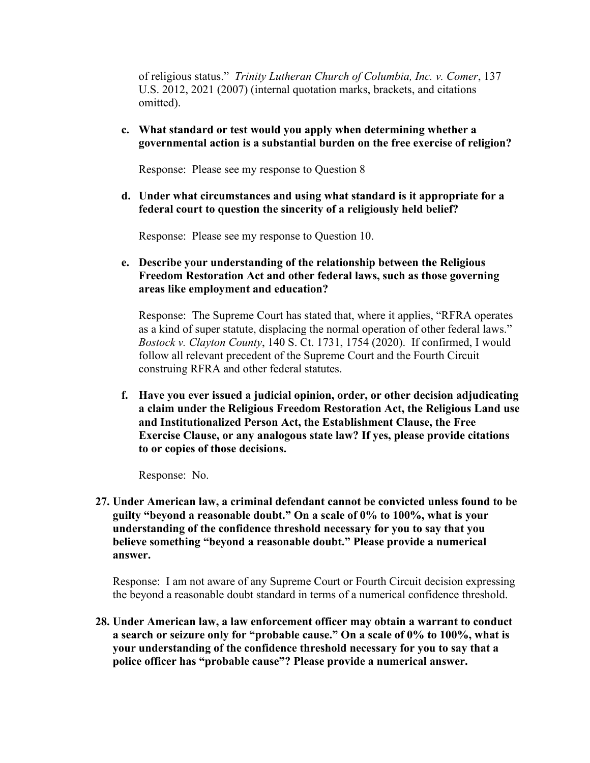of religious status." *Trinity Lutheran Church of Columbia, Inc. v. Comer*, 137 U.S. 2012, 2021 (2007) (internal quotation marks, brackets, and citations omitted).

# **c. What standard or test would you apply when determining whether a governmental action is a substantial burden on the free exercise of religion?**

Response: Please see my response to Question 8

**d. Under what circumstances and using what standard is it appropriate for a federal court to question the sincerity of a religiously held belief?**

Response: Please see my response to Question 10.

**e. Describe your understanding of the relationship between the Religious Freedom Restoration Act and other federal laws, such as those governing areas like employment and education?**

Response: The Supreme Court has stated that, where it applies, "RFRA operates as a kind of super statute, displacing the normal operation of other federal laws." *Bostock v. Clayton County*, 140 S. Ct. 1731, 1754 (2020). If confirmed, I would follow all relevant precedent of the Supreme Court and the Fourth Circuit construing RFRA and other federal statutes.

**f. Have you ever issued a judicial opinion, order, or other decision adjudicating a claim under the Religious Freedom Restoration Act, the Religious Land use and Institutionalized Person Act, the Establishment Clause, the Free Exercise Clause, or any analogous state law? If yes, please provide citations to or copies of those decisions.**

Response: No.

**27. Under American law, a criminal defendant cannot be convicted unless found to be guilty "beyond a reasonable doubt." On a scale of 0% to 100%, what is your understanding of the confidence threshold necessary for you to say that you believe something "beyond a reasonable doubt." Please provide a numerical answer.**

Response: I am not aware of any Supreme Court or Fourth Circuit decision expressing the beyond a reasonable doubt standard in terms of a numerical confidence threshold.

**28. Under American law, a law enforcement officer may obtain a warrant to conduct a search or seizure only for "probable cause." On a scale of 0% to 100%, what is your understanding of the confidence threshold necessary for you to say that a police officer has "probable cause"? Please provide a numerical answer.**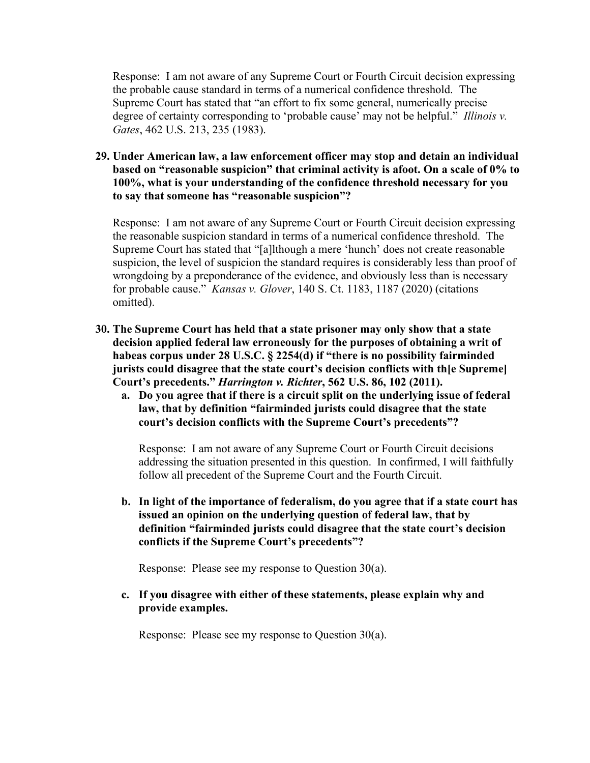Response: I am not aware of any Supreme Court or Fourth Circuit decision expressing the probable cause standard in terms of a numerical confidence threshold. The Supreme Court has stated that "an effort to fix some general, numerically precise degree of certainty corresponding to 'probable cause' may not be helpful." *Illinois v. Gates*, 462 U.S. 213, 235 (1983).

**29. Under American law, a law enforcement officer may stop and detain an individual based on "reasonable suspicion" that criminal activity is afoot. On a scale of 0% to 100%, what is your understanding of the confidence threshold necessary for you to say that someone has "reasonable suspicion"?**

Response: I am not aware of any Supreme Court or Fourth Circuit decision expressing the reasonable suspicion standard in terms of a numerical confidence threshold. The Supreme Court has stated that "[a]lthough a mere 'hunch' does not create reasonable suspicion, the level of suspicion the standard requires is considerably less than proof of wrongdoing by a preponderance of the evidence, and obviously less than is necessary for probable cause." *Kansas v. Glover*, 140 S. Ct. 1183, 1187 (2020) (citations omitted).

- **30. The Supreme Court has held that a state prisoner may only show that a state decision applied federal law erroneously for the purposes of obtaining a writ of habeas corpus under 28 U.S.C. § 2254(d) if "there is no possibility fairminded jurists could disagree that the state court's decision conflicts with th[e Supreme] Court's precedents."** *Harrington v. Richter***, 562 U.S. 86, 102 (2011).**
	- **a. Do you agree that if there is a circuit split on the underlying issue of federal law, that by definition "fairminded jurists could disagree that the state court's decision conflicts with the Supreme Court's precedents"?**

Response: I am not aware of any Supreme Court or Fourth Circuit decisions addressing the situation presented in this question. In confirmed, I will faithfully follow all precedent of the Supreme Court and the Fourth Circuit.

**b. In light of the importance of federalism, do you agree that if a state court has issued an opinion on the underlying question of federal law, that by definition "fairminded jurists could disagree that the state court's decision conflicts if the Supreme Court's precedents"?**

Response: Please see my response to Question 30(a).

**c. If you disagree with either of these statements, please explain why and provide examples.**

Response: Please see my response to Question 30(a).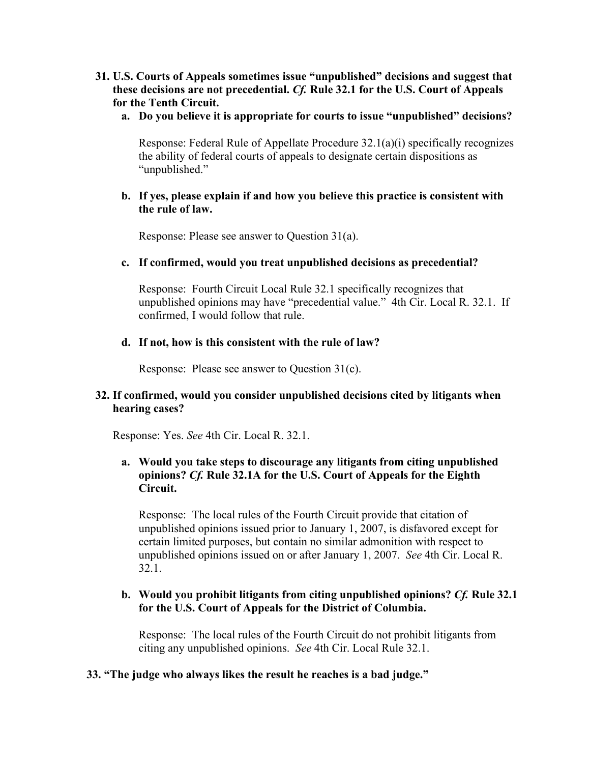- **31. U.S. Courts of Appeals sometimes issue "unpublished" decisions and suggest that these decisions are not precedential.** *Cf.* **Rule 32.1 for the U.S. Court of Appeals for the Tenth Circuit.**
	- **a. Do you believe it is appropriate for courts to issue "unpublished" decisions?**

Response: Federal Rule of Appellate Procedure 32.1(a)(i) specifically recognizes the ability of federal courts of appeals to designate certain dispositions as "unpublished."

## **b. If yes, please explain if and how you believe this practice is consistent with the rule of law.**

Response: Please see answer to Question 31(a).

## **c. If confirmed, would you treat unpublished decisions as precedential?**

Response: Fourth Circuit Local Rule 32.1 specifically recognizes that unpublished opinions may have "precedential value." 4th Cir. Local R. 32.1. If confirmed, I would follow that rule.

#### **d. If not, how is this consistent with the rule of law?**

Response: Please see answer to Question 31(c).

# **32. If confirmed, would you consider unpublished decisions cited by litigants when hearing cases?**

Response: Yes. *See* 4th Cir. Local R. 32.1.

# **a. Would you take steps to discourage any litigants from citing unpublished opinions?** *Cf.* **Rule 32.1A for the U.S. Court of Appeals for the Eighth Circuit.**

Response: The local rules of the Fourth Circuit provide that citation of unpublished opinions issued prior to January 1, 2007, is disfavored except for certain limited purposes, but contain no similar admonition with respect to unpublished opinions issued on or after January 1, 2007. *See* 4th Cir. Local R. 32.1.

## **b. Would you prohibit litigants from citing unpublished opinions?** *Cf.* **Rule 32.1 for the U.S. Court of Appeals for the District of Columbia.**

Response: The local rules of the Fourth Circuit do not prohibit litigants from citing any unpublished opinions. *See* 4th Cir. Local Rule 32.1.

#### **33. "The judge who always likes the result he reaches is a bad judge."**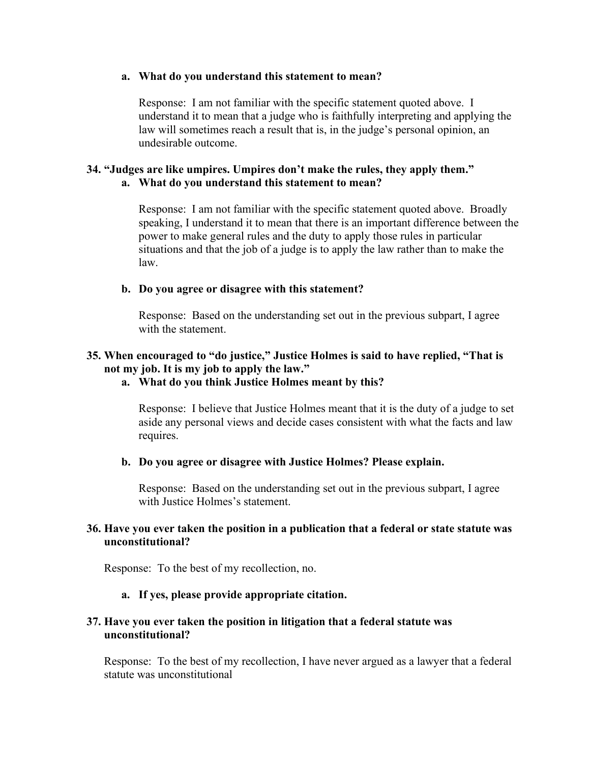#### **a. What do you understand this statement to mean?**

Response: I am not familiar with the specific statement quoted above. I understand it to mean that a judge who is faithfully interpreting and applying the law will sometimes reach a result that is, in the judge's personal opinion, an undesirable outcome.

# **34. "Judges are like umpires. Umpires don't make the rules, they apply them." a. What do you understand this statement to mean?**

Response: I am not familiar with the specific statement quoted above. Broadly speaking, I understand it to mean that there is an important difference between the power to make general rules and the duty to apply those rules in particular situations and that the job of a judge is to apply the law rather than to make the law.

#### **b. Do you agree or disagree with this statement?**

Response: Based on the understanding set out in the previous subpart, I agree with the statement.

# **35. When encouraged to "do justice," Justice Holmes is said to have replied, "That is not my job. It is my job to apply the law."**

### **a. What do you think Justice Holmes meant by this?**

Response: I believe that Justice Holmes meant that it is the duty of a judge to set aside any personal views and decide cases consistent with what the facts and law requires.

#### **b. Do you agree or disagree with Justice Holmes? Please explain.**

Response: Based on the understanding set out in the previous subpart, I agree with Justice Holmes's statement.

# **36. Have you ever taken the position in a publication that a federal or state statute was unconstitutional?**

Response: To the best of my recollection, no.

#### **a. If yes, please provide appropriate citation.**

## **37. Have you ever taken the position in litigation that a federal statute was unconstitutional?**

Response: To the best of my recollection, I have never argued as a lawyer that a federal statute was unconstitutional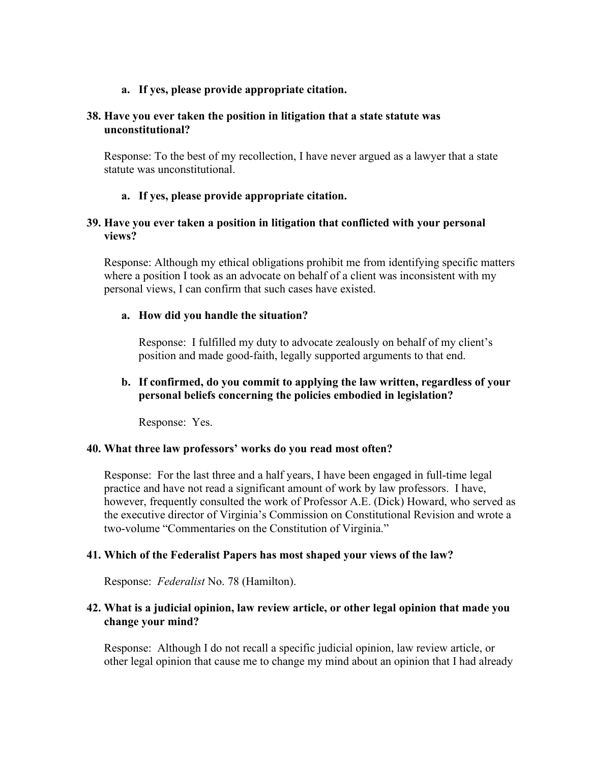### **a. If yes, please provide appropriate citation.**

#### **38. Have you ever taken the position in litigation that a state statute was unconstitutional?**

Response: To the best of my recollection, I have never argued as a lawyer that a state statute was unconstitutional.

### **a. If yes, please provide appropriate citation.**

# **39. Have you ever taken a position in litigation that conflicted with your personal views?**

Response: Although my ethical obligations prohibit me from identifying specific matters where a position I took as an advocate on behalf of a client was inconsistent with my personal views, I can confirm that such cases have existed.

#### **a. How did you handle the situation?**

Response: I fulfilled my duty to advocate zealously on behalf of my client's position and made good-faith, legally supported arguments to that end.

## **b. If confirmed, do you commit to applying the law written, regardless of your personal beliefs concerning the policies embodied in legislation?**

Response: Yes.

#### **40. What three law professors' works do you read most often?**

Response: For the last three and a half years, I have been engaged in full-time legal practice and have not read a significant amount of work by law professors. I have, however, frequently consulted the work of Professor A.E. (Dick) Howard, who served as the executive director of Virginia's Commission on Constitutional Revision and wrote a two-volume "Commentaries on the Constitution of Virginia."

#### **41. Which of the Federalist Papers has most shaped your views of the law?**

Response: *Federalist* No. 78 (Hamilton).

#### **42. What is a judicial opinion, law review article, or other legal opinion that made you change your mind?**

Response: Although I do not recall a specific judicial opinion, law review article, or other legal opinion that cause me to change my mind about an opinion that I had already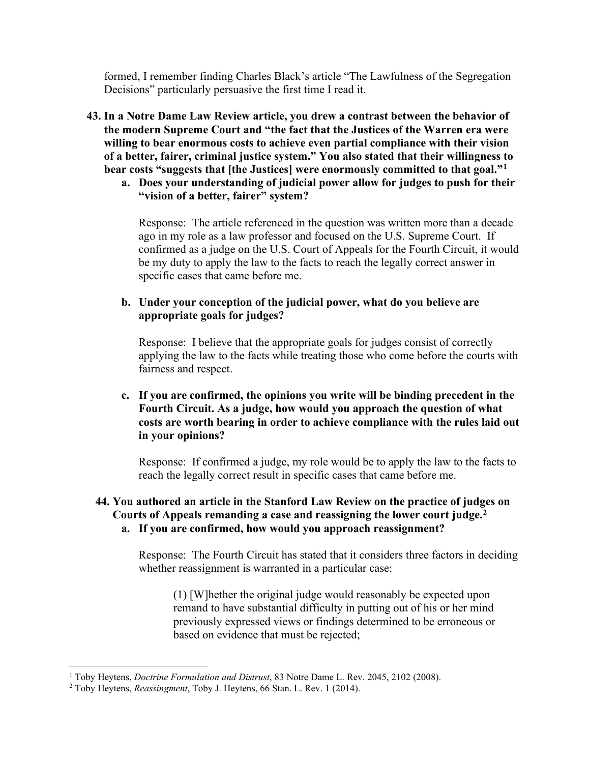formed, I remember finding Charles Black's article "The Lawfulness of the Segregation Decisions" particularly persuasive the first time I read it.

- **43. In a Notre Dame Law Review article, you drew a contrast between the behavior of the modern Supreme Court and "the fact that the Justices of the Warren era were willing to bear enormous costs to achieve even partial compliance with their vision of a better, fairer, criminal justice system." You also stated that their willingness to bear costs "suggests that [the Justices] were enormously committed to that goal."[1](#page-36-0)**
	- **a. Does your understanding of judicial power allow for judges to push for their "vision of a better, fairer" system?**

Response: The article referenced in the question was written more than a decade ago in my role as a law professor and focused on the U.S. Supreme Court. If confirmed as a judge on the U.S. Court of Appeals for the Fourth Circuit, it would be my duty to apply the law to the facts to reach the legally correct answer in specific cases that came before me.

**b. Under your conception of the judicial power, what do you believe are appropriate goals for judges?**

Response: I believe that the appropriate goals for judges consist of correctly applying the law to the facts while treating those who come before the courts with fairness and respect.

**c. If you are confirmed, the opinions you write will be binding precedent in the Fourth Circuit. As a judge, how would you approach the question of what costs are worth bearing in order to achieve compliance with the rules laid out in your opinions?**

Response: If confirmed a judge, my role would be to apply the law to the facts to reach the legally correct result in specific cases that came before me.

#### **44. You authored an article in the Stanford Law Review on the practice of judges on Courts of Appeals remanding a case and reassigning the lower court judge[.2](#page-36-1) a. If you are confirmed, how would you approach reassignment?**

Response: The Fourth Circuit has stated that it considers three factors in deciding whether reassignment is warranted in a particular case:

(1) [W]hether the original judge would reasonably be expected upon remand to have substantial difficulty in putting out of his or her mind previously expressed views or findings determined to be erroneous or based on evidence that must be rejected;

<span id="page-36-0"></span><sup>1</sup> Toby Heytens, *Doctrine Formulation and Distrust*, 83 Notre Dame L. Rev. 2045, 2102 (2008).

<span id="page-36-1"></span><sup>2</sup> Toby Heytens, *Reassingment*, Toby J. Heytens, 66 Stan. L. Rev. 1 (2014).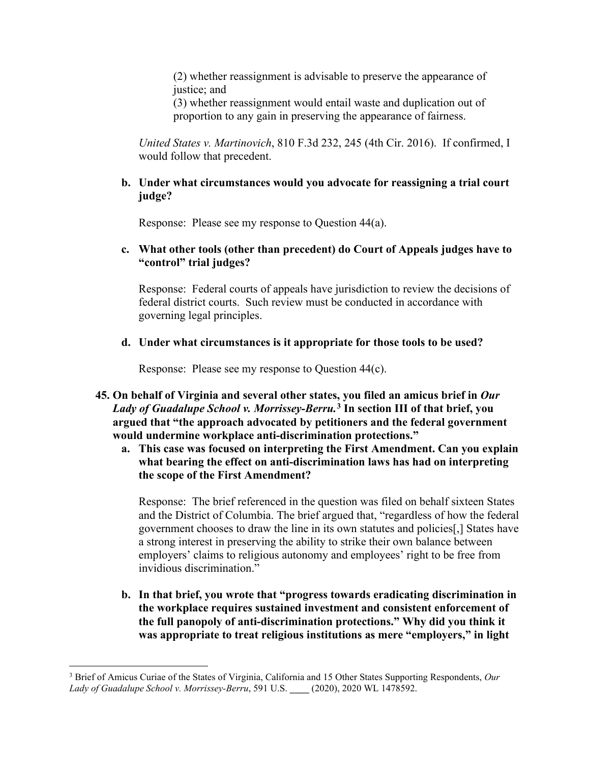(2) whether reassignment is advisable to preserve the appearance of justice; and

(3) whether reassignment would entail waste and duplication out of proportion to any gain in preserving the appearance of fairness.

*United States v. Martinovich*, 810 F.3d 232, 245 (4th Cir. 2016). If confirmed, I would follow that precedent.

### **b. Under what circumstances would you advocate for reassigning a trial court judge?**

Response: Please see my response to Question 44(a).

## **c. What other tools (other than precedent) do Court of Appeals judges have to "control" trial judges?**

Response: Federal courts of appeals have jurisdiction to review the decisions of federal district courts. Such review must be conducted in accordance with governing legal principles.

## **d. Under what circumstances is it appropriate for those tools to be used?**

Response: Please see my response to Question 44(c).

- **45. On behalf of Virginia and several other states, you filed an amicus brief in** *Our Lady of Guadalupe School v. Morrissey-Berru.***[3](#page-37-0) In section III of that brief, you argued that "the approach advocated by petitioners and the federal government would undermine workplace anti-discrimination protections."**
	- **a. This case was focused on interpreting the First Amendment. Can you explain what bearing the effect on anti-discrimination laws has had on interpreting the scope of the First Amendment?**

Response: The brief referenced in the question was filed on behalf sixteen States and the District of Columbia. The brief argued that, "regardless of how the federal government chooses to draw the line in its own statutes and policies[,] States have a strong interest in preserving the ability to strike their own balance between employers' claims to religious autonomy and employees' right to be free from invidious discrimination."

**b. In that brief, you wrote that "progress towards eradicating discrimination in the workplace requires sustained investment and consistent enforcement of the full panopoly of anti-discrimination protections." Why did you think it was appropriate to treat religious institutions as mere "employers," in light** 

<span id="page-37-0"></span><sup>3</sup> Brief of Amicus Curiae of the States of Virginia, California and 15 Other States Supporting Respondents, *Our Lady of Guadalupe School v. Morrissey-Berru*, 591 U.S. **\_\_\_\_** (2020), 2020 WL 1478592.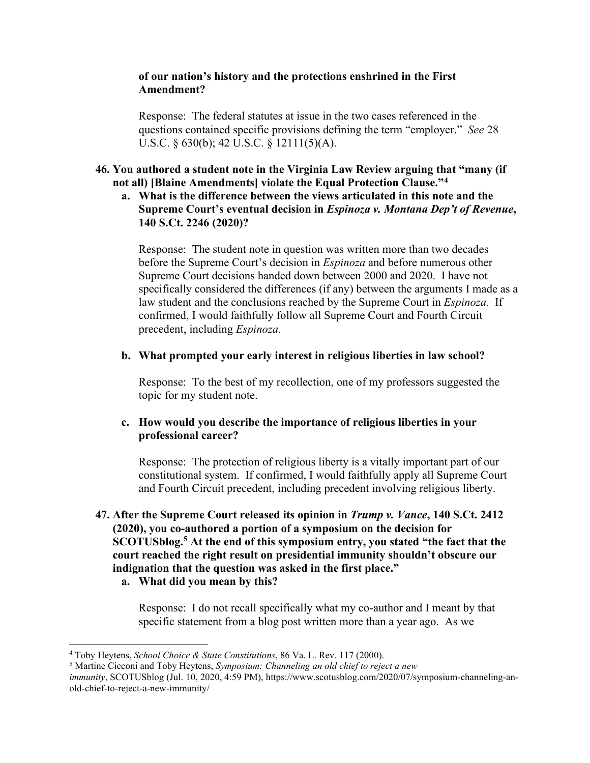### **of our nation's history and the protections enshrined in the First Amendment?**

Response: The federal statutes at issue in the two cases referenced in the questions contained specific provisions defining the term "employer." *See* 28 U.S.C. § 630(b); 42 U.S.C. § 12111(5)(A).

## **46. You authored a student note in the Virginia Law Review arguing that "many (if not all) [Blaine Amendments] violate the Equal Protection Clause."[4](#page-38-0)**

**a. What is the difference between the views articulated in this note and the Supreme Court's eventual decision in** *Espinoza v. Montana Dep't of Revenue***, 140 S.Ct. 2246 (2020)?**

Response: The student note in question was written more than two decades before the Supreme Court's decision in *Espinoza* and before numerous other Supreme Court decisions handed down between 2000 and 2020. I have not specifically considered the differences (if any) between the arguments I made as a law student and the conclusions reached by the Supreme Court in *Espinoza.* If confirmed, I would faithfully follow all Supreme Court and Fourth Circuit precedent, including *Espinoza.* 

#### **b. What prompted your early interest in religious liberties in law school?**

Response: To the best of my recollection, one of my professors suggested the topic for my student note.

## **c. How would you describe the importance of religious liberties in your professional career?**

Response: The protection of religious liberty is a vitally important part of our constitutional system. If confirmed, I would faithfully apply all Supreme Court and Fourth Circuit precedent, including precedent involving religious liberty.

# **47. After the Supreme Court released its opinion in** *Trump v. Vance***, 140 S.Ct. 2412 (2020), you co-authored a portion of a symposium on the decision for SCOTUSblog.[5](#page-38-1) At the end of this symposium entry, you stated "the fact that the court reached the right result on presidential immunity shouldn't obscure our indignation that the question was asked in the first place."**

**a. What did you mean by this?**

Response: I do not recall specifically what my co-author and I meant by that specific statement from a blog post written more than a year ago. As we

<span id="page-38-0"></span><sup>4</sup> Toby Heytens, *School Choice & State Constitutions*, 86 Va. L. Rev. 117 (2000).

<span id="page-38-1"></span><sup>5</sup> Martine Cicconi and Toby Heytens, *Symposium: Channeling an old chief to reject a new* 

*immunity*, SCOTUSblog (Jul. 10, 2020, 4:59 PM), https://www.scotusblog.com/2020/07/symposium-channeling-anold-chief-to-reject-a-new-immunity/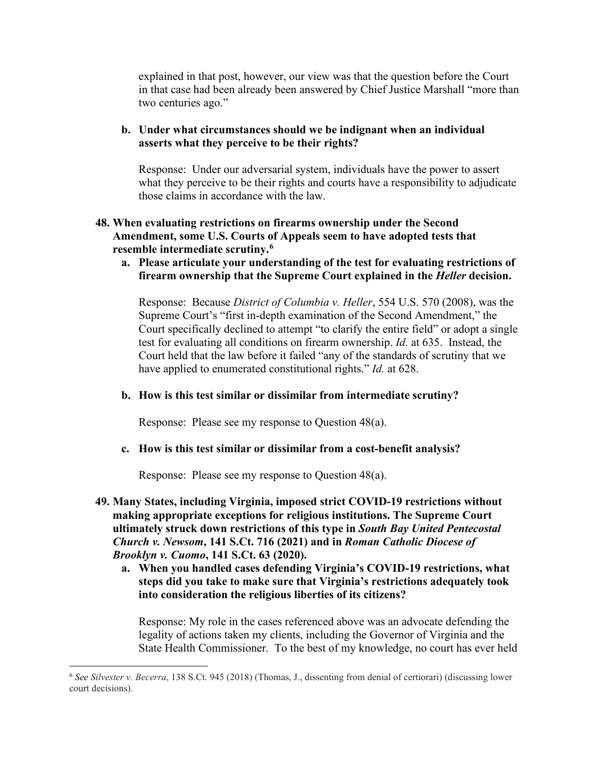explained in that post, however, our view was that the question before the Court in that case had been already been answered by Chief Justice Marshall "more than two centuries ago."

# **b. Under what circumstances should we be indignant when an individual asserts what they perceive to be their rights?**

Response: Under our adversarial system, individuals have the power to assert what they perceive to be their rights and courts have a responsibility to adjudicate those claims in accordance with the law.

# **48. When evaluating restrictions on firearms ownership under the Second Amendment, some U.S. Courts of Appeals seem to have adopted tests that resemble intermediate scrutiny.[6](#page-39-0)**

**a. Please articulate your understanding of the test for evaluating restrictions of firearm ownership that the Supreme Court explained in the** *Heller* **decision.**

Response: Because *District of Columbia v. Heller*, 554 U.S. 570 (2008), was the Supreme Court's "first in-depth examination of the Second Amendment," the Court specifically declined to attempt "to clarify the entire field" or adopt a single test for evaluating all conditions on firearm ownership. *Id.* at 635. Instead, the Court held that the law before it failed "any of the standards of scrutiny that we have applied to enumerated constitutional rights." *Id.* at 628.

#### **b. How is this test similar or dissimilar from intermediate scrutiny?**

Response: Please see my response to Question 48(a).

#### **c. How is this test similar or dissimilar from a cost-benefit analysis?**

Response: Please see my response to Question 48(a).

- **49. Many States, including Virginia, imposed strict COVID-19 restrictions without making appropriate exceptions for religious institutions. The Supreme Court ultimately struck down restrictions of this type in** *South Bay United Pentecostal Church v. Newsom***, 141 S.Ct. 716 (2021) and in** *Roman Catholic Diocese of Brooklyn v. Cuomo***, 141 S.Ct. 63 (2020).**
	- **a. When you handled cases defending Virginia's COVID-19 restrictions, what steps did you take to make sure that Virginia's restrictions adequately took into consideration the religious liberties of its citizens?**

Response: My role in the cases referenced above was an advocate defending the legality of actions taken my clients, including the Governor of Virginia and the State Health Commissioner. To the best of my knowledge, no court has ever held

<span id="page-39-0"></span><sup>6</sup> *See Silvester v. Becerra*, 138 S.Ct. 945 (2018) (Thomas, J., dissenting from denial of certiorari) (discussing lower court decisions).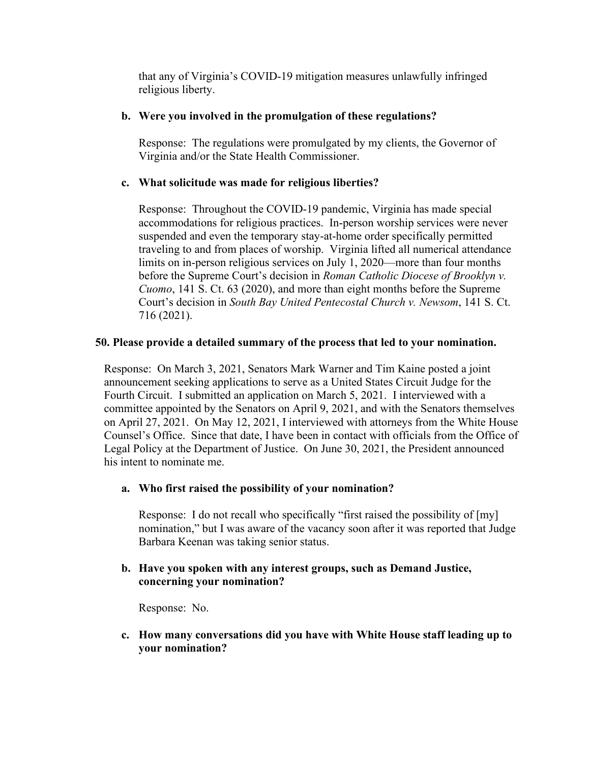that any of Virginia's COVID-19 mitigation measures unlawfully infringed religious liberty.

## **b. Were you involved in the promulgation of these regulations?**

Response: The regulations were promulgated by my clients, the Governor of Virginia and/or the State Health Commissioner.

## **c. What solicitude was made for religious liberties?**

Response: Throughout the COVID-19 pandemic, Virginia has made special accommodations for religious practices. In-person worship services were never suspended and even the temporary stay-at-home order specifically permitted traveling to and from places of worship. Virginia lifted all numerical attendance limits on in-person religious services on July 1, 2020—more than four months before the Supreme Court's decision in *Roman Catholic Diocese of Brooklyn v. Cuomo*, 141 S. Ct. 63 (2020), and more than eight months before the Supreme Court's decision in *South Bay United Pentecostal Church v. Newsom*, 141 S. Ct. 716 (2021).

#### **50. Please provide a detailed summary of the process that led to your nomination.**

Response: On March 3, 2021, Senators Mark Warner and Tim Kaine posted a joint announcement seeking applications to serve as a United States Circuit Judge for the Fourth Circuit. I submitted an application on March 5, 2021. I interviewed with a committee appointed by the Senators on April 9, 2021, and with the Senators themselves on April 27, 2021. On May 12, 2021, I interviewed with attorneys from the White House Counsel's Office. Since that date, I have been in contact with officials from the Office of Legal Policy at the Department of Justice. On June 30, 2021, the President announced his intent to nominate me.

#### **a. Who first raised the possibility of your nomination?**

Response: I do not recall who specifically "first raised the possibility of [my] nomination," but I was aware of the vacancy soon after it was reported that Judge Barbara Keenan was taking senior status.

#### **b. Have you spoken with any interest groups, such as Demand Justice, concerning your nomination?**

Response: No.

**c. How many conversations did you have with White House staff leading up to your nomination?**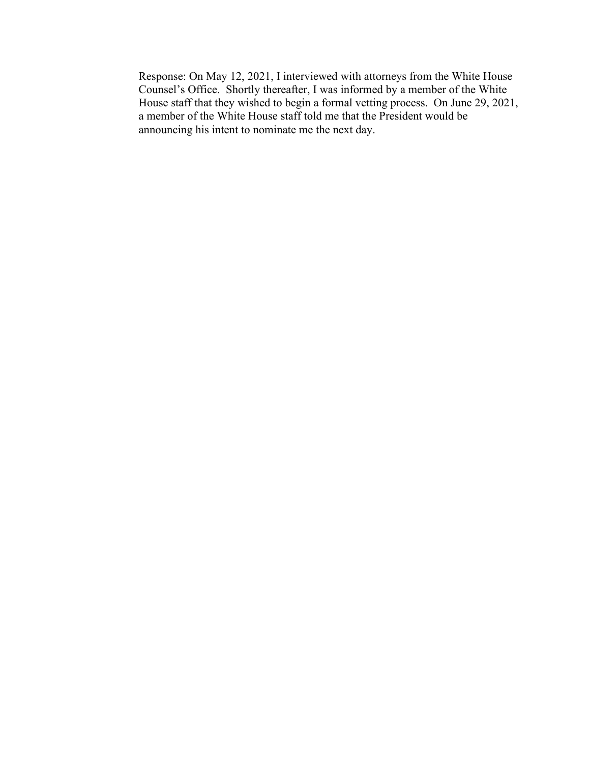Response: On May 12, 2021, I interviewed with attorneys from the White House Counsel's Office. Shortly thereafter, I was informed by a member of the White House staff that they wished to begin a formal vetting process. On June 29, 2021, a member of the White House staff told me that the President would be announcing his intent to nominate me the next day.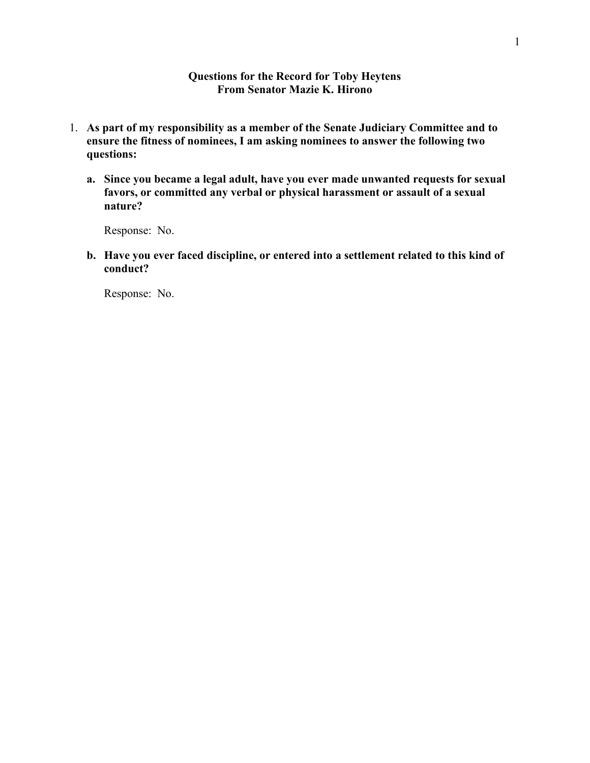#### **Questions for the Record for Toby Heytens From Senator Mazie K. Hirono**

- 1. **As part of my responsibility as a member of the Senate Judiciary Committee and to ensure the fitness of nominees, I am asking nominees to answer the following two questions:** 
	- **a. Since you became a legal adult, have you ever made unwanted requests for sexual favors, or committed any verbal or physical harassment or assault of a sexual nature?**

Response: No.

**b. Have you ever faced discipline, or entered into a settlement related to this kind of conduct?** 

Response: No.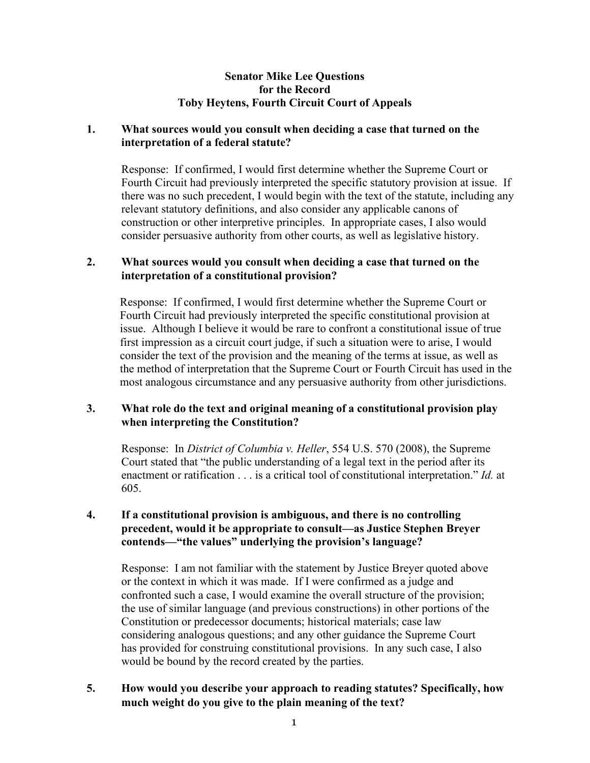## **Senator Mike Lee Questions for the Record Toby Heytens, Fourth Circuit Court of Appeals**

# **1. What sources would you consult when deciding a case that turned on the interpretation of a federal statute?**

Response: If confirmed, I would first determine whether the Supreme Court or Fourth Circuit had previously interpreted the specific statutory provision at issue. If there was no such precedent, I would begin with the text of the statute, including any relevant statutory definitions, and also consider any applicable canons of construction or other interpretive principles. In appropriate cases, I also would consider persuasive authority from other courts, as well as legislative history.

# **2. What sources would you consult when deciding a case that turned on the interpretation of a constitutional provision?**

Response: If confirmed, I would first determine whether the Supreme Court or Fourth Circuit had previously interpreted the specific constitutional provision at issue. Although I believe it would be rare to confront a constitutional issue of true first impression as a circuit court judge, if such a situation were to arise, I would consider the text of the provision and the meaning of the terms at issue, as well as the method of interpretation that the Supreme Court or Fourth Circuit has used in the most analogous circumstance and any persuasive authority from other jurisdictions.

# **3. What role do the text and original meaning of a constitutional provision play when interpreting the Constitution?**

Response: In *District of Columbia v. Heller*, 554 U.S. 570 (2008), the Supreme Court stated that "the public understanding of a legal text in the period after its enactment or ratification . . . is a critical tool of constitutional interpretation." *Id.* at 605.

# **4. If a constitutional provision is ambiguous, and there is no controlling precedent, would it be appropriate to consult—as Justice Stephen Breyer contends—"the values" underlying the provision's language?**

Response: I am not familiar with the statement by Justice Breyer quoted above or the context in which it was made. If I were confirmed as a judge and confronted such a case, I would examine the overall structure of the provision; the use of similar language (and previous constructions) in other portions of the Constitution or predecessor documents; historical materials; case law considering analogous questions; and any other guidance the Supreme Court has provided for construing constitutional provisions. In any such case, I also would be bound by the record created by the parties.

## **5. How would you describe your approach to reading statutes? Specifically, how much weight do you give to the plain meaning of the text?**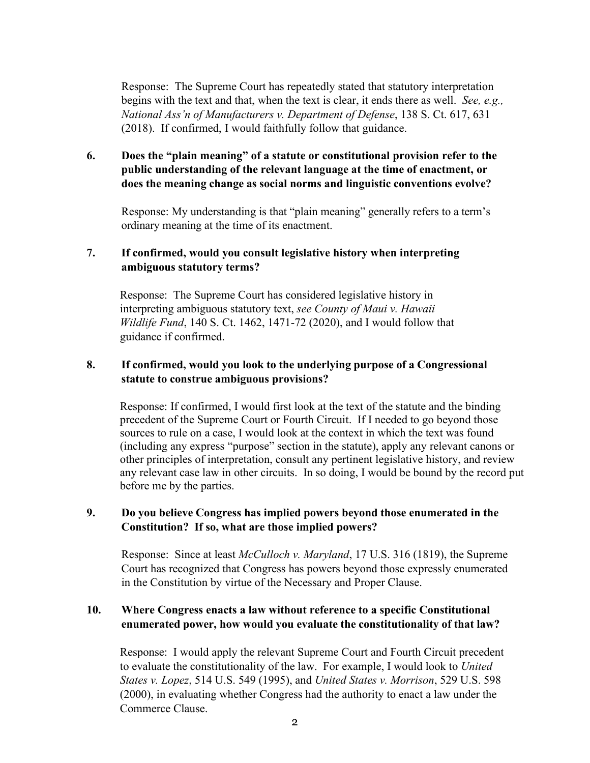Response: The Supreme Court has repeatedly stated that statutory interpretation begins with the text and that, when the text is clear, it ends there as well. *See, e.g., National Ass'n of Manufacturers v. Department of Defense*, 138 S. Ct. 617, 631 (2018). If confirmed, I would faithfully follow that guidance.

# **6. Does the "plain meaning" of a statute or constitutional provision refer to the public understanding of the relevant language at the time of enactment, or does the meaning change as social norms and linguistic conventions evolve?**

Response: My understanding is that "plain meaning" generally refers to a term's ordinary meaning at the time of its enactment.

# **7. If confirmed, would you consult legislative history when interpreting ambiguous statutory terms?**

Response: The Supreme Court has considered legislative history in interpreting ambiguous statutory text, *see County of Maui v. Hawaii Wildlife Fund*, 140 S. Ct. 1462, 1471-72 (2020), and I would follow that guidance if confirmed.

# **8. If confirmed, would you look to the underlying purpose of a Congressional statute to construe ambiguous provisions?**

Response: If confirmed, I would first look at the text of the statute and the binding precedent of the Supreme Court or Fourth Circuit. If I needed to go beyond those sources to rule on a case, I would look at the context in which the text was found (including any express "purpose" section in the statute), apply any relevant canons or other principles of interpretation, consult any pertinent legislative history, and review any relevant case law in other circuits. In so doing, I would be bound by the record put before me by the parties.

# **9. Do you believe Congress has implied powers beyond those enumerated in the Constitution? If so, what are those implied powers?**

Response: Since at least *McCulloch v. Maryland*, 17 U.S. 316 (1819), the Supreme Court has recognized that Congress has powers beyond those expressly enumerated in the Constitution by virtue of the Necessary and Proper Clause.

# **10. Where Congress enacts a law without reference to a specific Constitutional enumerated power, how would you evaluate the constitutionality of that law?**

Response: I would apply the relevant Supreme Court and Fourth Circuit precedent to evaluate the constitutionality of the law. For example, I would look to *United States v. Lopez*, 514 U.S. 549 (1995), and *United States v. Morrison*, 529 U.S. 598 (2000), in evaluating whether Congress had the authority to enact a law under the Commerce Clause.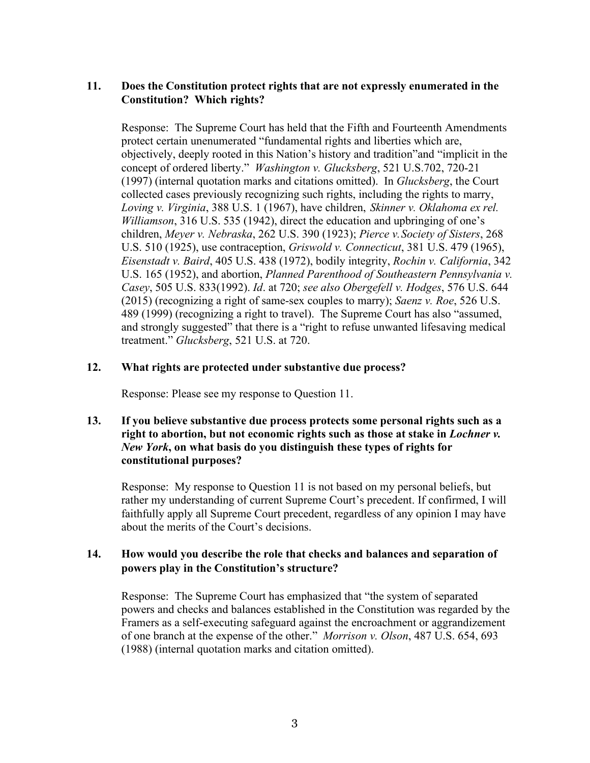# **11. Does the Constitution protect rights that are not expressly enumerated in the Constitution? Which rights?**

Response: The Supreme Court has held that the Fifth and Fourteenth Amendments protect certain unenumerated "fundamental rights and liberties which are, objectively, deeply rooted in this Nation's history and tradition"and "implicit in the concept of ordered liberty." *Washington v. Glucksberg*, 521 U.S.702, 720-21 (1997) (internal quotation marks and citations omitted). In *Glucksberg*, the Court collected cases previously recognizing such rights, including the rights to marry, *Loving v. Virginia*, 388 U.S. 1 (1967), have children, *Skinner v. Oklahoma ex rel. Williamson*, 316 U.S. 535 (1942), direct the education and upbringing of one's children, *Meyer v. Nebraska*, 262 U.S. 390 (1923); *Pierce v. Society of Sisters*, 268 U.S. 510 (1925), use contraception, *Griswold v. Connecticut*, 381 U.S. 479 (1965), *Eisenstadt v. Baird*, 405 U.S. 438 (1972), bodily integrity, *Rochin v. California*, 342 U.S. 165 (1952), and abortion, *Planned Parenthood of Southeastern Pennsylvania v. Casey*, 505 U.S. 833(1992). *Id*. at 720; *see also Obergefell v. Hodges*, 576 U.S. 644 (2015) (recognizing a right of same-sex couples to marry); *Saenz v. Roe*, 526 U.S. 489 (1999) (recognizing a right to travel). The Supreme Court has also "assumed, and strongly suggested" that there is a "right to refuse unwanted lifesaving medical treatment." *Glucksberg*, 521 U.S. at 720.

#### **12. What rights are protected under substantive due process?**

Response: Please see my response to Question 11.

## **13. If you believe substantive due process protects some personal rights such as a right to abortion, but not economic rights such as those at stake in** *Lochner v. New York***, on what basis do you distinguish these types of rights for constitutional purposes?**

Response: My response to Question 11 is not based on my personal beliefs, but rather my understanding of current Supreme Court's precedent. If confirmed, I will faithfully apply all Supreme Court precedent, regardless of any opinion I may have about the merits of the Court's decisions.

## **14. How would you describe the role that checks and balances and separation of powers play in the Constitution's structure?**

Response: The Supreme Court has emphasized that "the system of separated powers and checks and balances established in the Constitution was regarded by the Framers as a self-executing safeguard against the encroachment or aggrandizement of one branch at the expense of the other." *Morrison v. Olson*, 487 U.S. 654, 693 (1988) (internal quotation marks and citation omitted).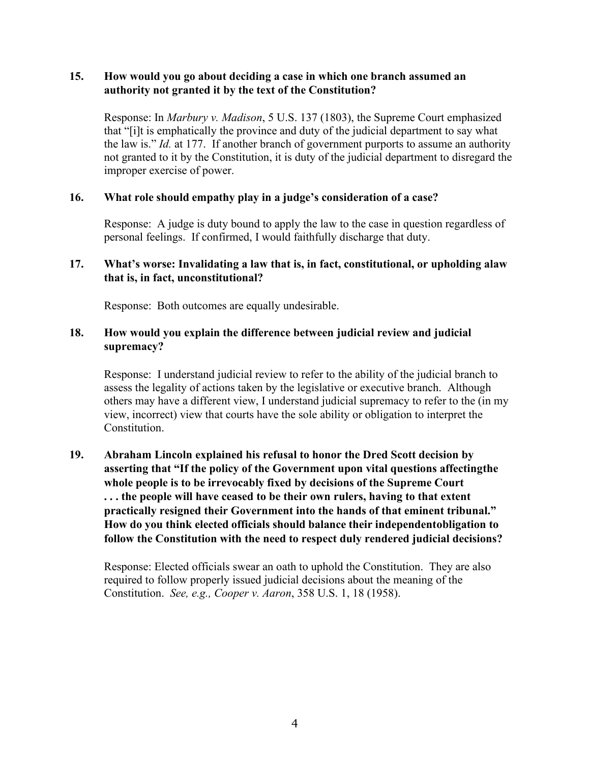## **15. How would you go about deciding a case in which one branch assumed an authority not granted it by the text of the Constitution?**

Response: In *Marbury v. Madison*, 5 U.S. 137 (1803), the Supreme Court emphasized that "[i]t is emphatically the province and duty of the judicial department to say what the law is." *Id.* at 177. If another branch of government purports to assume an authority not granted to it by the Constitution, it is duty of the judicial department to disregard the improper exercise of power.

#### **16. What role should empathy play in a judge's consideration of a case?**

Response: A judge is duty bound to apply the law to the case in question regardless of personal feelings. If confirmed, I would faithfully discharge that duty.

# **17. What's worse: Invalidating a law that is, in fact, constitutional, or upholding alaw that is, in fact, unconstitutional?**

Response: Both outcomes are equally undesirable.

# **18. How would you explain the difference between judicial review and judicial supremacy?**

Response: I understand judicial review to refer to the ability of the judicial branch to assess the legality of actions taken by the legislative or executive branch. Although others may have a different view, I understand judicial supremacy to refer to the (in my view, incorrect) view that courts have the sole ability or obligation to interpret the Constitution.

**19. Abraham Lincoln explained his refusal to honor the Dred Scott decision by asserting that "If the policy of the Government upon vital questions affectingthe whole people is to be irrevocably fixed by decisions of the Supreme Court . . . the people will have ceased to be their own rulers, having to that extent practically resigned their Government into the hands of that eminent tribunal." How do you think elected officials should balance their independentobligation to follow the Constitution with the need to respect duly rendered judicial decisions?**

Response: Elected officials swear an oath to uphold the Constitution. They are also required to follow properly issued judicial decisions about the meaning of the Constitution. *See, e.g., Cooper v. Aaron*, 358 U.S. 1, 18 (1958).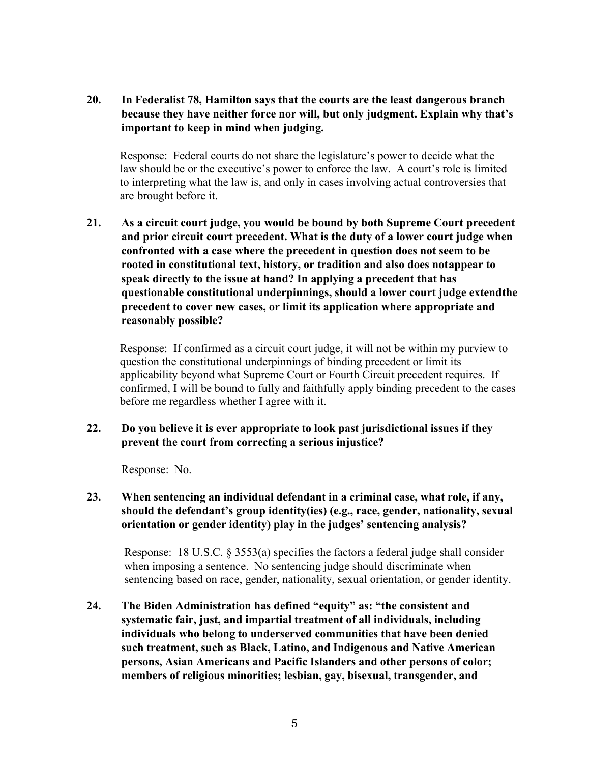**20. In Federalist 78, Hamilton says that the courts are the least dangerous branch because they have neither force nor will, but only judgment. Explain why that's important to keep in mind when judging.**

Response: Federal courts do not share the legislature's power to decide what the law should be or the executive's power to enforce the law. A court's role is limited to interpreting what the law is, and only in cases involving actual controversies that are brought before it.

**21. As a circuit court judge, you would be bound by both Supreme Court precedent and prior circuit court precedent. What is the duty of a lower court judge when confronted with a case where the precedent in question does not seem to be rooted in constitutional text, history, or tradition and also does notappear to speak directly to the issue at hand? In applying a precedent that has questionable constitutional underpinnings, should a lower court judge extendthe precedent to cover new cases, or limit its application where appropriate and reasonably possible?**

Response: If confirmed as a circuit court judge, it will not be within my purview to question the constitutional underpinnings of binding precedent or limit its applicability beyond what Supreme Court or Fourth Circuit precedent requires. If confirmed, I will be bound to fully and faithfully apply binding precedent to the cases before me regardless whether I agree with it.

**22. Do you believe it is ever appropriate to look past jurisdictional issues if they prevent the court from correcting a serious injustice?**

Response: No.

**23. When sentencing an individual defendant in a criminal case, what role, if any, should the defendant's group identity(ies) (e.g., race, gender, nationality, sexual orientation or gender identity) play in the judges' sentencing analysis?**

Response: 18 U.S.C. § 3553(a) specifies the factors a federal judge shall consider when imposing a sentence. No sentencing judge should discriminate when sentencing based on race, gender, nationality, sexual orientation, or gender identity.

**24. The Biden Administration has defined "equity" as: "the consistent and systematic fair, just, and impartial treatment of all individuals, including individuals who belong to underserved communities that have been denied such treatment, such as Black, Latino, and Indigenous and Native American persons, Asian Americans and Pacific Islanders and other persons of color; members of religious minorities; lesbian, gay, bisexual, transgender, and**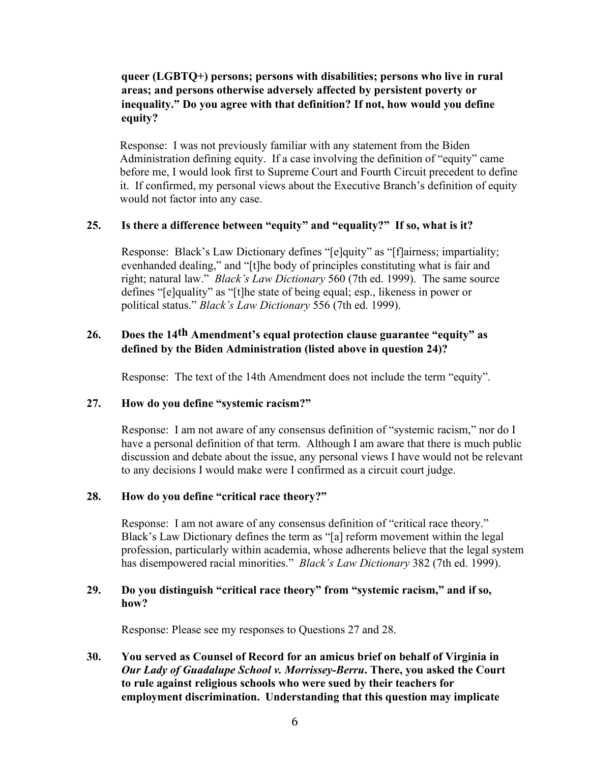# **queer (LGBTQ+) persons; persons with disabilities; persons who live in rural areas; and persons otherwise adversely affected by persistent poverty or inequality." Do you agree with that definition? If not, how would you define equity?**

Response: I was not previously familiar with any statement from the Biden Administration defining equity. If a case involving the definition of "equity" came before me, I would look first to Supreme Court and Fourth Circuit precedent to define it. If confirmed, my personal views about the Executive Branch's definition of equity would not factor into any case.

## **25. Is there a difference between "equity" and "equality?" If so, what is it?**

Response: Black's Law Dictionary defines "[e]quity" as "[f]airness; impartiality; evenhanded dealing," and "[t]he body of principles constituting what is fair and right; natural law." *Black's Law Dictionary* 560 (7th ed. 1999). The same source defines "[e]quality" as "[t]he state of being equal; esp., likeness in power or political status." *Black's Law Dictionary* 556 (7th ed. 1999).

# **26. Does the 14th Amendment's equal protection clause guarantee "equity" as defined by the Biden Administration (listed above in question 24)?**

Response: The text of the 14th Amendment does not include the term "equity".

#### **27. How do you define "systemic racism?"**

Response: I am not aware of any consensus definition of "systemic racism," nor do I have a personal definition of that term. Although I am aware that there is much public discussion and debate about the issue, any personal views I have would not be relevant to any decisions I would make were I confirmed as a circuit court judge.

# **28. How do you define "critical race theory?"**

Response: I am not aware of any consensus definition of "critical race theory." Black's Law Dictionary defines the term as "[a] reform movement within the legal profession, particularly within academia, whose adherents believe that the legal system has disempowered racial minorities." *Black's Law Dictionary* 382 (7th ed. 1999).

## **29. Do you distinguish "critical race theory" from "systemic racism," and if so, how?**

Response: Please see my responses to Questions 27 and 28.

# **30. You served as Counsel of Record for an amicus brief on behalf of Virginia in** *Our Lady of Guadalupe School v. Morrissey-Berru***. There, you asked the Court to rule against religious schools who were sued by their teachers for employment discrimination. Understanding that this question may implicate**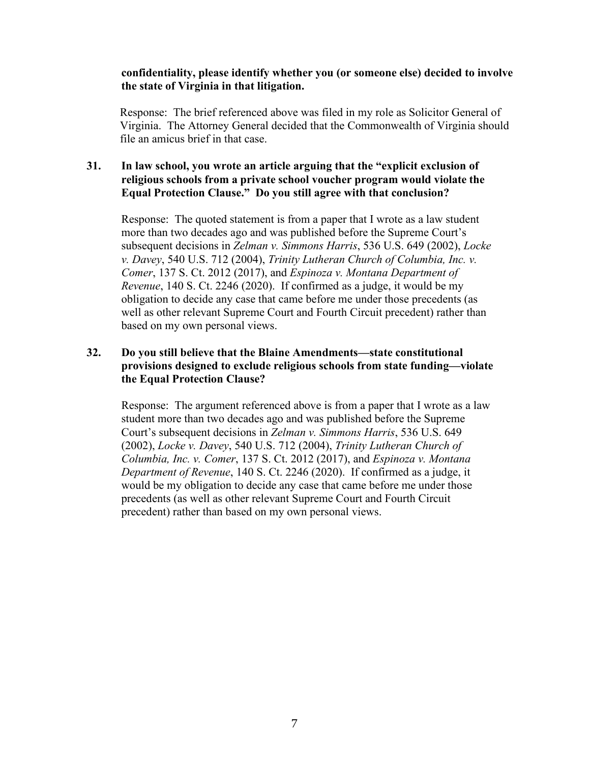### **confidentiality, please identify whether you (or someone else) decided to involve the state of Virginia in that litigation.**

Response: The brief referenced above was filed in my role as Solicitor General of Virginia. The Attorney General decided that the Commonwealth of Virginia should file an amicus brief in that case.

## **31. In law school, you wrote an article arguing that the "explicit exclusion of religious schools from a private school voucher program would violate the Equal Protection Clause." Do you still agree with that conclusion?**

Response: The quoted statement is from a paper that I wrote as a law student more than two decades ago and was published before the Supreme Court's subsequent decisions in *Zelman v. Simmons Harris*, 536 U.S. 649 (2002), *Locke v. Davey*, 540 U.S. 712 (2004), *Trinity Lutheran Church of Columbia, Inc. v. Comer*, 137 S. Ct. 2012 (2017), and *Espinoza v. Montana Department of Revenue*, 140 S. Ct. 2246 (2020). If confirmed as a judge, it would be my obligation to decide any case that came before me under those precedents (as well as other relevant Supreme Court and Fourth Circuit precedent) rather than based on my own personal views.

# **32. Do you still believe that the Blaine Amendments—state constitutional provisions designed to exclude religious schools from state funding—violate the Equal Protection Clause?**

Response: The argument referenced above is from a paper that I wrote as a law student more than two decades ago and was published before the Supreme Court's subsequent decisions in *Zelman v. Simmons Harris*, 536 U.S. 649 (2002), *Locke v. Davey*, 540 U.S. 712 (2004), *Trinity Lutheran Church of Columbia, Inc. v. Comer*, 137 S. Ct. 2012 (2017), and *Espinoza v. Montana Department of Revenue*, 140 S. Ct. 2246 (2020). If confirmed as a judge, it would be my obligation to decide any case that came before me under those precedents (as well as other relevant Supreme Court and Fourth Circuit precedent) rather than based on my own personal views.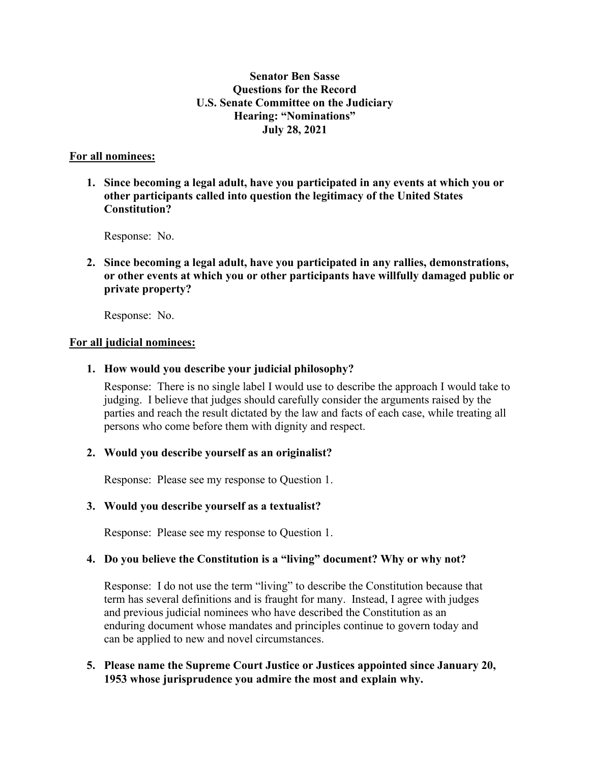# **Senator Ben Sasse Questions for the Record U.S. Senate Committee on the Judiciary Hearing: "Nominations" July 28, 2021**

## **For all nominees:**

**1. Since becoming a legal adult, have you participated in any events at which you or other participants called into question the legitimacy of the United States Constitution?**

Response: No.

**2. Since becoming a legal adult, have you participated in any rallies, demonstrations, or other events at which you or other participants have willfully damaged public or private property?**

Response: No.

#### **For all judicial nominees:**

## **1. How would you describe your judicial philosophy?**

Response: There is no single label I would use to describe the approach I would take to judging. I believe that judges should carefully consider the arguments raised by the parties and reach the result dictated by the law and facts of each case, while treating all persons who come before them with dignity and respect.

#### **2. Would you describe yourself as an originalist?**

Response: Please see my response to Question 1.

# **3. Would you describe yourself as a textualist?**

Response: Please see my response to Question 1.

### **4. Do you believe the Constitution is a "living" document? Why or why not?**

Response: I do not use the term "living" to describe the Constitution because that term has several definitions and is fraught for many. Instead, I agree with judges and previous judicial nominees who have described the Constitution as an enduring document whose mandates and principles continue to govern today and can be applied to new and novel circumstances.

## **5. Please name the Supreme Court Justice or Justices appointed since January 20, 1953 whose jurisprudence you admire the most and explain why.**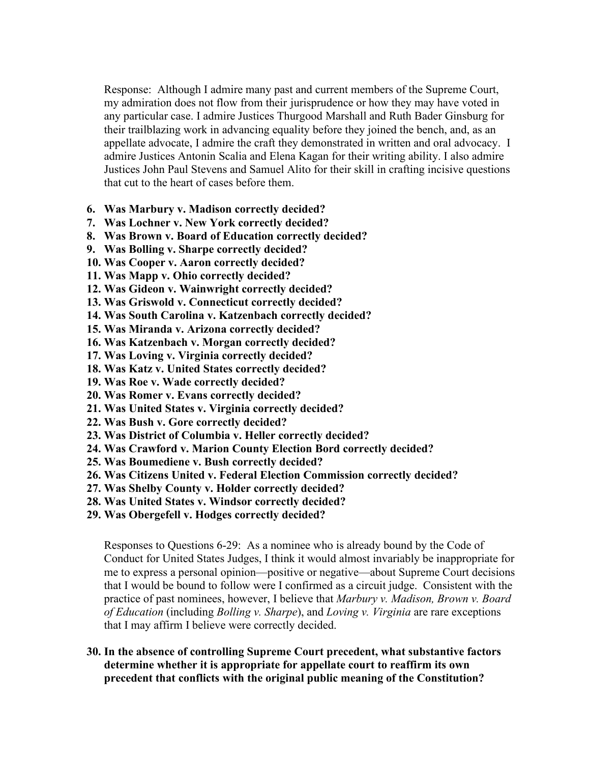Response: Although I admire many past and current members of the Supreme Court, my admiration does not flow from their jurisprudence or how they may have voted in any particular case. I admire Justices Thurgood Marshall and Ruth Bader Ginsburg for their trailblazing work in advancing equality before they joined the bench, and, as an appellate advocate, I admire the craft they demonstrated in written and oral advocacy. I admire Justices Antonin Scalia and Elena Kagan for their writing ability. I also admire Justices John Paul Stevens and Samuel Alito for their skill in crafting incisive questions that cut to the heart of cases before them.

- **6. Was Marbury v. Madison correctly decided?**
- **7. Was Lochner v. New York correctly decided?**
- **8. Was Brown v. Board of Education correctly decided?**
- **9. Was Bolling v. Sharpe correctly decided?**
- **10. Was Cooper v. Aaron correctly decided?**
- **11. Was Mapp v. Ohio correctly decided?**
- **12. Was Gideon v. Wainwright correctly decided?**
- **13. Was Griswold v. Connecticut correctly decided?**
- **14. Was South Carolina v. Katzenbach correctly decided?**
- **15. Was Miranda v. Arizona correctly decided?**
- **16. Was Katzenbach v. Morgan correctly decided?**
- **17. Was Loving v. Virginia correctly decided?**
- **18. Was Katz v. United States correctly decided?**
- **19. Was Roe v. Wade correctly decided?**
- **20. Was Romer v. Evans correctly decided?**
- **21. Was United States v. Virginia correctly decided?**
- **22. Was Bush v. Gore correctly decided?**
- **23. Was District of Columbia v. Heller correctly decided?**
- **24. Was Crawford v. Marion County Election Bord correctly decided?**
- **25. Was Boumediene v. Bush correctly decided?**
- **26. Was Citizens United v. Federal Election Commission correctly decided?**
- **27. Was Shelby County v. Holder correctly decided?**
- **28. Was United States v. Windsor correctly decided?**
- **29. Was Obergefell v. Hodges correctly decided?**

Responses to Questions 6-29: As a nominee who is already bound by the Code of Conduct for United States Judges, I think it would almost invariably be inappropriate for me to express a personal opinion—positive or negative—about Supreme Court decisions that I would be bound to follow were I confirmed as a circuit judge. Consistent with the practice of past nominees, however, I believe that *Marbury v. Madison, Brown v. Board of Education* (including *Bolling v. Sharpe*), and *Loving v. Virginia* are rare exceptions that I may affirm I believe were correctly decided.

**30. In the absence of controlling Supreme Court precedent, what substantive factors determine whether it is appropriate for appellate court to reaffirm its own precedent that conflicts with the original public meaning of the Constitution?**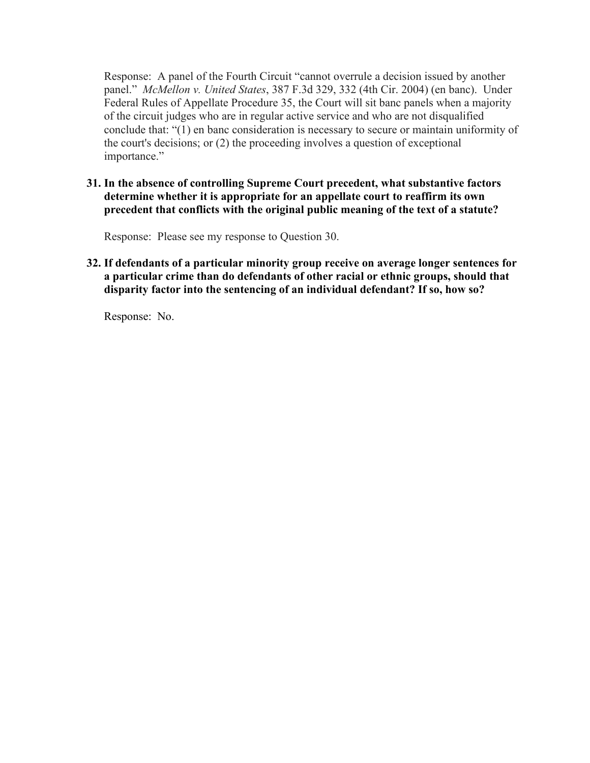Response: A panel of the Fourth Circuit "cannot overrule a decision issued by another panel." *McMellon v. United States*, 387 F.3d 329, 332 (4th Cir. 2004) (en banc). Under Federal Rules of Appellate Procedure 35, the Court will sit banc panels when a majority of the circuit judges who are in regular active service and who are not disqualified conclude that: "(1) en banc consideration is necessary to secure or maintain uniformity of the court's decisions; or (2) the proceeding involves a question of exceptional importance."

**31. In the absence of controlling Supreme Court precedent, what substantive factors determine whether it is appropriate for an appellate court to reaffirm its own precedent that conflicts with the original public meaning of the text of a statute?**

Response: Please see my response to Question 30.

**32. If defendants of a particular minority group receive on average longer sentences for a particular crime than do defendants of other racial or ethnic groups, should that disparity factor into the sentencing of an individual defendant? If so, how so?**

Response: No.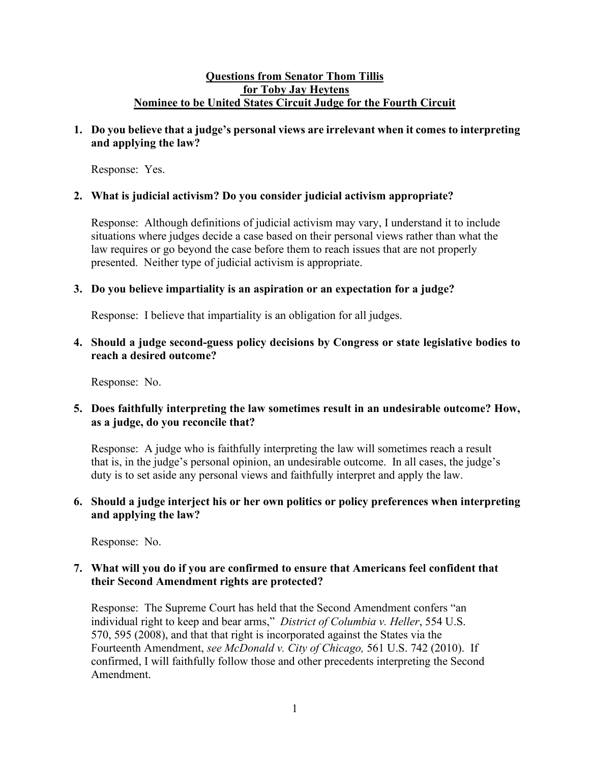# **Questions from Senator Thom Tillis for Toby Jay Heytens Nominee to be United States Circuit Judge for the Fourth Circuit**

# **1. Do you believe that a judge's personal views are irrelevant when it comes to interpreting and applying the law?**

Response: Yes.

# **2. What is judicial activism? Do you consider judicial activism appropriate?**

Response: Although definitions of judicial activism may vary, I understand it to include situations where judges decide a case based on their personal views rather than what the law requires or go beyond the case before them to reach issues that are not properly presented. Neither type of judicial activism is appropriate.

# **3. Do you believe impartiality is an aspiration or an expectation for a judge?**

Response: I believe that impartiality is an obligation for all judges.

**4. Should a judge second-guess policy decisions by Congress or state legislative bodies to reach a desired outcome?** 

Response: No.

# **5. Does faithfully interpreting the law sometimes result in an undesirable outcome? How, as a judge, do you reconcile that?**

Response: A judge who is faithfully interpreting the law will sometimes reach a result that is, in the judge's personal opinion, an undesirable outcome. In all cases, the judge's duty is to set aside any personal views and faithfully interpret and apply the law.

# **6. Should a judge interject his or her own politics or policy preferences when interpreting and applying the law?**

Response: No.

# **7. What will you do if you are confirmed to ensure that Americans feel confident that their Second Amendment rights are protected?**

Response: The Supreme Court has held that the Second Amendment confers "an individual right to keep and bear arms," *District of Columbia v. Heller*, 554 U.S. 570, 595 (2008), and that that right is incorporated against the States via the Fourteenth Amendment, *see McDonald v. City of Chicago,* 561 U.S. 742 (2010). If confirmed, I will faithfully follow those and other precedents interpreting the Second Amendment.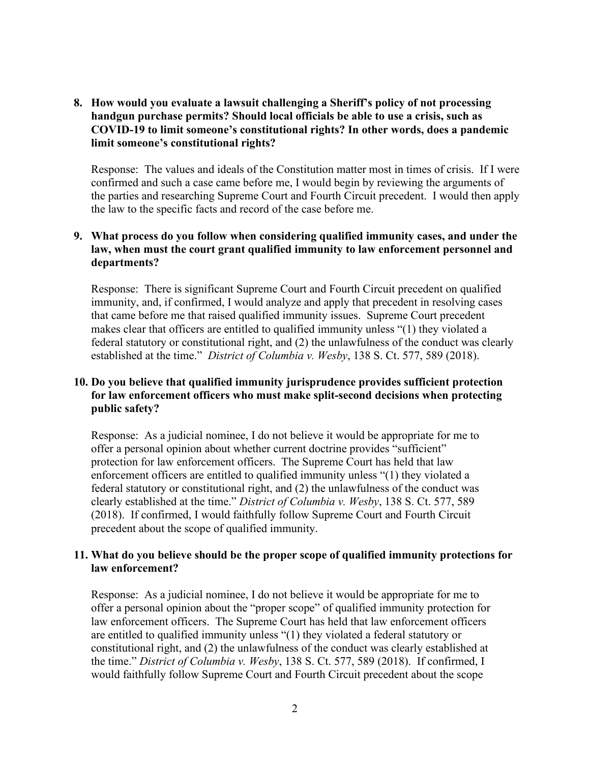**8. How would you evaluate a lawsuit challenging a Sheriff's policy of not processing handgun purchase permits? Should local officials be able to use a crisis, such as COVID-19 to limit someone's constitutional rights? In other words, does a pandemic limit someone's constitutional rights?**

Response: The values and ideals of the Constitution matter most in times of crisis. If I were confirmed and such a case came before me, I would begin by reviewing the arguments of the parties and researching Supreme Court and Fourth Circuit precedent. I would then apply the law to the specific facts and record of the case before me.

### **9. What process do you follow when considering qualified immunity cases, and under the law, when must the court grant qualified immunity to law enforcement personnel and departments?**

Response: There is significant Supreme Court and Fourth Circuit precedent on qualified immunity, and, if confirmed, I would analyze and apply that precedent in resolving cases that came before me that raised qualified immunity issues. Supreme Court precedent makes clear that officers are entitled to qualified immunity unless "(1) they violated a federal statutory or constitutional right, and (2) the unlawfulness of the conduct was clearly established at the time." *District of Columbia v. Wesby*, 138 S. Ct. 577, 589 (2018).

# **10. Do you believe that qualified immunity jurisprudence provides sufficient protection for law enforcement officers who must make split-second decisions when protecting public safety?**

Response: As a judicial nominee, I do not believe it would be appropriate for me to offer a personal opinion about whether current doctrine provides "sufficient" protection for law enforcement officers. The Supreme Court has held that law enforcement officers are entitled to qualified immunity unless "(1) they violated a federal statutory or constitutional right, and (2) the unlawfulness of the conduct was clearly established at the time." *District of Columbia v. Wesby*, 138 S. Ct. 577, 589 (2018). If confirmed, I would faithfully follow Supreme Court and Fourth Circuit precedent about the scope of qualified immunity.

## **11. What do you believe should be the proper scope of qualified immunity protections for law enforcement?**

Response: As a judicial nominee, I do not believe it would be appropriate for me to offer a personal opinion about the "proper scope" of qualified immunity protection for law enforcement officers. The Supreme Court has held that law enforcement officers are entitled to qualified immunity unless "(1) they violated a federal statutory or constitutional right, and (2) the unlawfulness of the conduct was clearly established at the time." *District of Columbia v. Wesby*, 138 S. Ct. 577, 589 (2018). If confirmed, I would faithfully follow Supreme Court and Fourth Circuit precedent about the scope